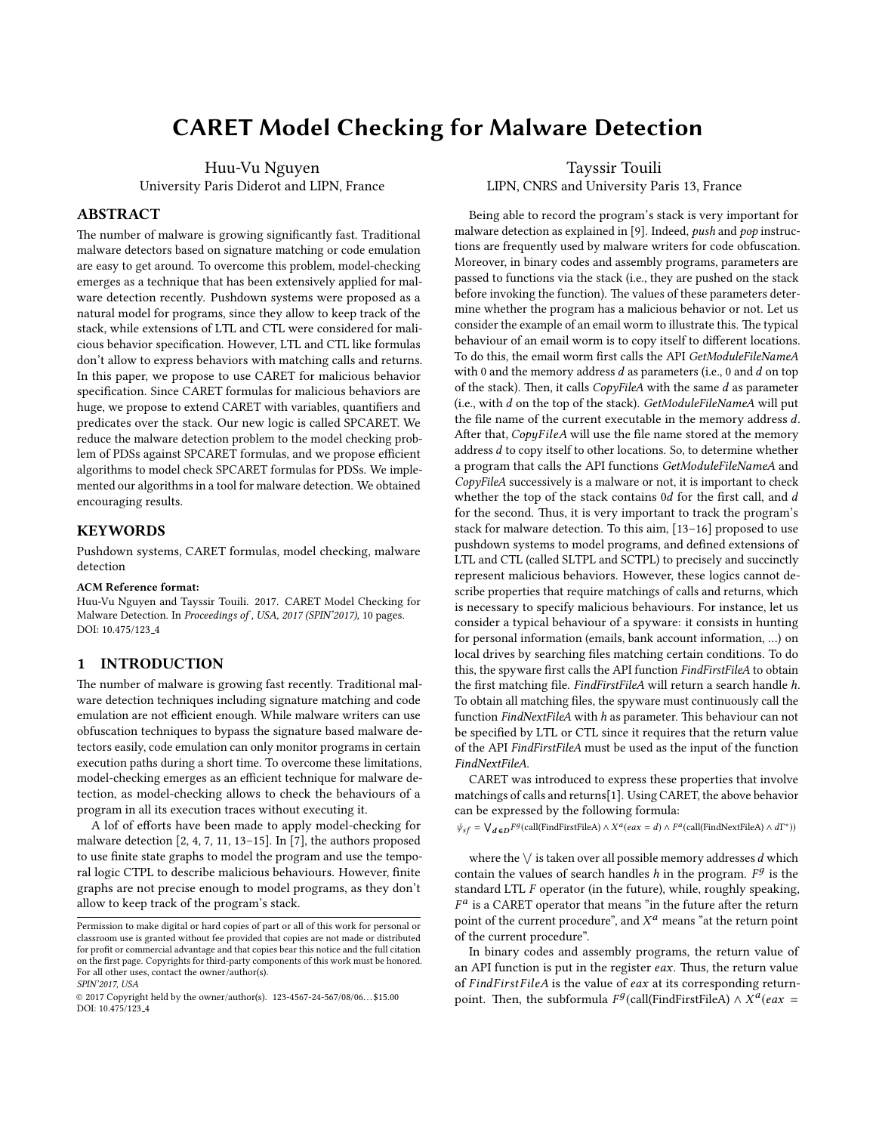# CARET Model Checking for Malware Detection

Huu-Vu Nguyen

University Paris Diderot and LIPN, France

## ABSTRACT

The number of malware is growing significantly fast. Traditional malware detectors based on signature matching or code emulation are easy to get around. To overcome this problem, model-checking emerges as a technique that has been extensively applied for malware detection recently. Pushdown systems were proposed as a natural model for programs, since they allow to keep track of the stack, while extensions of LTL and CTL were considered for malicious behavior specification. However, LTL and CTL like formulas don't allow to express behaviors with matching calls and returns. In this paper, we propose to use CARET for malicious behavior specification. Since CARET formulas for malicious behaviors are huge, we propose to extend CARET with variables, quantifiers and predicates over the stack. Our new logic is called SPCARET. We reduce the malware detection problem to the model checking problem of PDSs against SPCARET formulas, and we propose efficient algorithms to model check SPCARET formulas for PDSs. We implemented our algorithms in a tool for malware detection. We obtained encouraging results.

#### **KEYWORDS**

Pushdown systems, CARET formulas, model checking, malware detection

#### ACM Reference format:

Huu-Vu Nguyen and Tayssir Touili. 2017. CARET Model Checking for Malware Detection. In Proceedings of , USA, 2017 (SPIN'2017), [10](#page-9-0) pages. DOI: 10.475/123 4

#### 1 INTRODUCTION

The number of malware is growing fast recently. Traditional malware detection techniques including signature matching and code emulation are not efficient enough. While malware writers can use obfuscation techniques to bypass the signature based malware detectors easily, code emulation can only monitor programs in certain execution paths during a short time. To overcome these limitations, model-checking emerges as an efficient technique for malware detection, as model-checking allows to check the behaviours of a program in all its execution traces without executing it.

A lof of efforts have been made to apply model-checking for malware detection [\[2,](#page-9-1) [4,](#page-9-2) [7,](#page-9-3) [11,](#page-9-4) [13–](#page-9-5)[15\]](#page-9-6). In [\[7\]](#page-9-3), the authors proposed to use finite state graphs to model the program and use the temporal logic CTPL to describe malicious behaviours. However, finite graphs are not precise enough to model programs, as they don't allow to keep track of the program's stack.

SPIN'2017, USA

Tayssir Touili LIPN, CNRS and University Paris 13, France

Being able to record the program's stack is very important for malware detection as explained in [\[9\]](#page-9-7). Indeed, push and pop instructions are frequently used by malware writers for code obfuscation. Moreover, in binary codes and assembly programs, parameters are passed to functions via the stack (i.e., they are pushed on the stack before invoking the function). The values of these parameters determine whether the program has a malicious behavior or not. Let us consider the example of an email worm to illustrate this. The typical behaviour of an email worm is to copy itself to different locations. To do this, the email worm first calls the API GetModuleFileNameA with 0 and the memory address  $d$  as parameters (i.e., 0 and  $d$  on top of the stack). Then, it calls  $CopyFileA$  with the same d as parameter (i.e., with d on the top of the stack). GetModuleFileNameA will put the file name of the current executable in the memory address  $d$ . After that, CopyFileA will use the file name stored at the memory address d to copy itself to other locations. So, to determine whether a program that calls the API functions GetModuleFileNameA and CopyFileA successively is a malware or not, it is important to check whether the top of the stack contains  $0d$  for the first call, and  $d$ for the second. Thus, it is very important to track the program's stack for malware detection. To this aim, [\[13](#page-9-5)[–16\]](#page-9-8) proposed to use pushdown systems to model programs, and defined extensions of LTL and CTL (called SLTPL and SCTPL) to precisely and succinctly represent malicious behaviors. However, these logics cannot describe properties that require matchings of calls and returns, which is necessary to specify malicious behaviours. For instance, let us consider a typical behaviour of a spyware: it consists in hunting for personal information (emails, bank account information, …) on local drives by searching files matching certain conditions. To do this, the spyware first calls the API function FindFirstFileA to obtain the first matching file. FindFirstFileA will return a search handle  $h$ . To obtain all matching files, the spyware must continuously call the function  $FindNextFileA$  with  $h$  as parameter. This behaviour can not be specified by LTL or CTL since it requires that the return value of the API FindFirstFileA must be used as the input of the function FindNextFileA.

CARET was introduced to express these properties that involve matchings of calls and returns[\[1\]](#page-9-9). Using CARET, the above behavior can be expressed by the following formula:

 $\psi_{sf} = \bigvee_{\textbf{d} \in D} F^g(\text{call}(\text{FindFirstFileA}) \land X^a(eax = d) \land F^a(\text{call}(\text{FindNextFileA}) \land d\Gamma^*))$ 

where the  $\vee$  is taken over all possible memory addresses d which<br>the values of search handles h in the program.  $F_g$  is the contain the values of search handles h in the program.  $F^g$  is the standard LTL E operator (in the future) while roughly speaking standard LTL F operator (in the future), while, roughly speaking,  $\overline{P}$  point of the current procedure", and  $X^a$  means "at the return point of the current procedure", and  $X^a$  means "at the return point  $\emph{a}$  is a CARET operator that means "in the future after the return of the current procedure".

In binary codes and assembly programs, the return value of an API function is put in the register  $eax$ . Thus, the return value of FindFirstFileA is the value of eax at its corresponding returnpoint. Then, the subformula  $F^g$ (call(FindFirstFileA)  $\wedge X^a$ (eax =

Permission to make digital or hard copies of part or all of this work for personal or classroom use is granted without fee provided that copies are not made or distributed for profit or commercial advantage and that copies bear this notice and the full citation on the first page. Copyrights for third-party components of this work must be honored. For all other uses, contact the owner/author(s).

<sup>©</sup> 2017 Copyright held by the owner/author(s). 123-4567-24-567/08/06. . . \$15.00 DOI: 10.475/123<sub>-4</sub>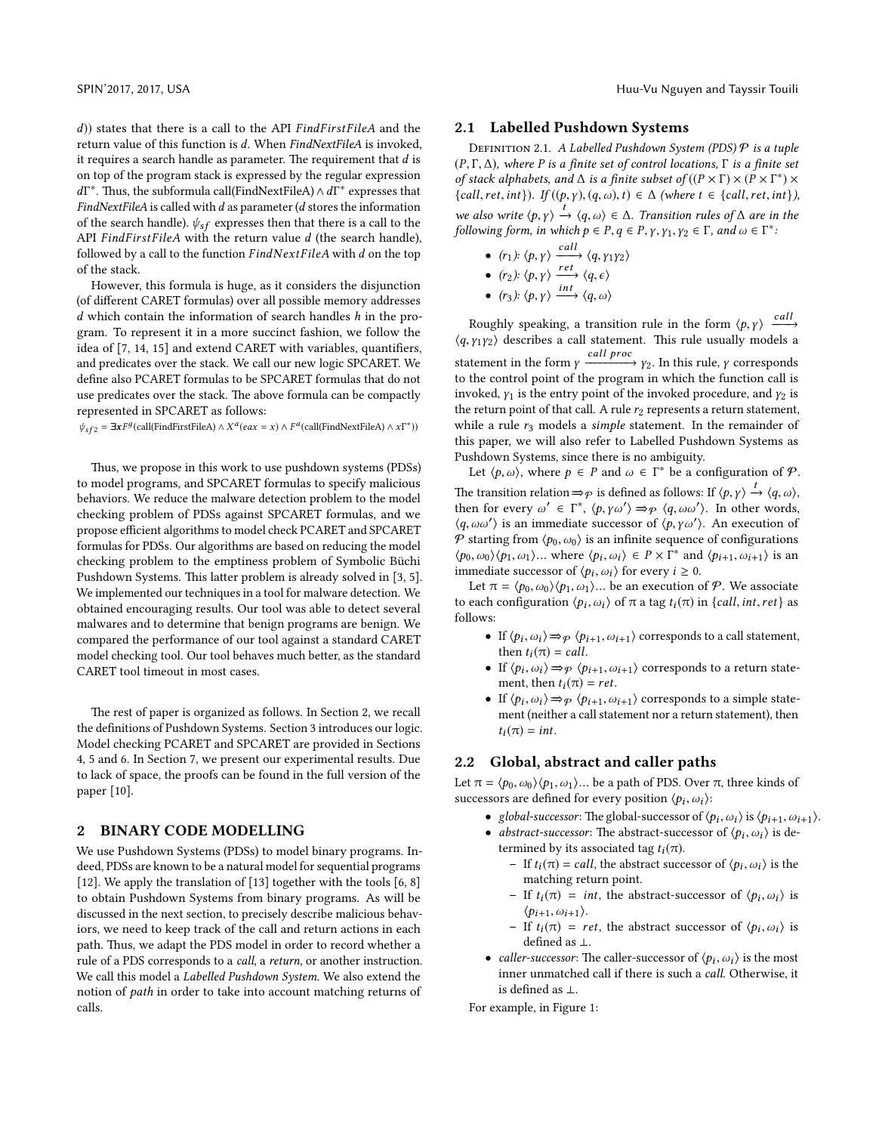d)) states that there is a call to the API FindFirstFileA and the return value of this function is d. When FindNextFileA is invoked, it requires a search handle as parameter. The requirement that  $d$  is on top of the program stack is expressed by the regular expression FindNextFileA is called with d as parameter (d stores the information<br>of the search bandle)  $\psi$  a expresses then that there is a call to the <sup>\*</sup>. Thus, the subformula call(FindNextFileA)∧d $\overline{d}^*$  expresses that  $\overline{d}^N$  is called with d as parameter (d stares the information of the search handle).  $\psi_{sf}$  expresses then that there is a call to the API FindFirstFileA with the return value  $d$  (the search handle), followed by a call to the function  $FindNextFileA$  with  $d$  on the top of the stack.

However, this formula is huge, as it considers the disjunction (of different CARET formulas) over all possible memory addresses d which contain the information of search handles h in the program. To represent it in a more succinct fashion, we follow the idea of [\[7,](#page-9-3) [14,](#page-9-10) [15\]](#page-9-6) and extend CARET with variables, quantifiers, and predicates over the stack. We call our new logic SPCARET. We define also PCARET formulas to be SPCARET formulas that do not use predicates over the stack. The above formula can be compactly represented in SPCARET as follows:

 $\psi_{s f 2} = \exists \textbf{x} F^g (\text{call(FindFirstFileA)} \wedge X^a (e\textbf{a} x = x) \wedge F^a (\text{call(FindNextFileA)} \wedge x \Gamma^*))$ 

Thus, we propose in this work to use pushdown systems (PDSs) to model programs, and SPCARET formulas to specify malicious behaviors. We reduce the malware detection problem to the model checking problem of PDSs against SPCARET formulas, and we propose efficient algorithms to model check PCARET and SPCARET formulas for PDSs. Our algorithms are based on reducing the model checking problem to the emptiness problem of Symbolic Büchi Pushdown Systems. This latter problem is already solved in [\[3,](#page-9-11) [5\]](#page-9-12). We implemented our techniques in a tool for malware detection. We obtained encouraging results. Our tool was able to detect several malwares and to determine that benign programs are benign. We compared the performance of our tool against a standard CARET model checking tool. Our tool behaves much better, as the standard CARET tool timeout in most cases.

The rest of paper is organized as follows. In Section 2, we recall the definitions of Pushdown Systems. Section 3 introduces our logic. Model checking PCARET and SPCARET are provided in Sections 4, 5 and 6. In Section 7, we present our experimental results. Due to lack of space, the proofs can be found in the full version of the paper [\[10\]](#page-9-13).

#### 2 BINARY CODE MODELLING

We use Pushdown Systems (PDSs) to model binary programs. Indeed, PDSs are known to be a natural model for sequential programs [\[12\]](#page-9-14). We apply the translation of [\[13\]](#page-9-5) together with the tools [\[6,](#page-9-15) [8\]](#page-9-16) to obtain Pushdown Systems from binary programs. As will be discussed in the next section, to precisely describe malicious behaviors, we need to keep track of the call and return actions in each path. Thus, we adapt the PDS model in order to record whether a rule of a PDS corresponds to a call, a return, or another instruction. We call this model a Labelled Pushdown System. We also extend the notion of path in order to take into account matching returns of calls.

#### <span id="page-1-0"></span>2.1 Labelled Pushdown Systems

DEFINITION 2.1. A Labelled Pushdown System (PDS)  $P$  is a tuple  $(P, \Gamma, \Delta)$ , where P is a finite set of control locations,  $\Gamma$  is a finite set of stack alphabets, and  $\Delta$  is a finite subset of  $((P \times \Gamma) \times (P \times \Gamma^*) \times$ <br>{call ret int}) If  $((p, y) (q, \alpha))$   $\vdash \Delta$  (where  $t \in \text{f}$  call ret int}) {call, ret, int}). If  $((p, \gamma), (q, \omega), t) \in \Delta$  (where  $t \in \{call, ret, int\}$ ), we also write  $\langle p, \gamma \rangle \stackrel{\rightarrow}{\rightarrow} \langle q, \omega \rangle \in \Delta$ . Transition rules of  $\Delta$  are in the following form in which  $p \in P$  a.g.  $P \times V$ . Ye  $\subseteq \Gamma$  and  $\omega \in \Gamma^*$ . following form, in which  $p \in P$ ,  $q \in P$ ,  $\gamma$ ,  $\gamma_1, \gamma_2 \in \Gamma$ , and  $\omega \in \Gamma^*$ :

- $(r_1)$ :  $\langle p, \gamma \rangle \xrightarrow{cent} \langle q, \gamma_1 \gamma_2 \rangle$
- $(r_2)$ :  $\langle p, \gamma \rangle \xrightarrow{ret} \langle q, \epsilon \rangle$
- $(r_3)$ :  $\langle p, \gamma \rangle \longrightarrow \langle q, \omega \rangle$

Roughly speaking, a transition rule in the form  $\langle p, \gamma \rangle$  call<br> $\langle \gamma, \gamma \rangle$  describes a call statement. This rule usually models a  $\langle q, \gamma_1 \gamma_2 \rangle$  describes a call statement. This rule usually models a statement in the form  $\gamma \xrightarrow{c_{\text{diff}}} \gamma_{\text{c}}$ . In this rule,  $\gamma$  corresponds to the control point of the program in which the function call is to the control point of the program in which the function call is invoked,  $\gamma_1$  is the entry point of the invoked procedure, and  $\gamma_2$  is the return point of that call. A rule  $r_2$  represents a return statement, while a rule  $r_3$  models a simple statement. In the remainder of this paper, we will also refer to Labelled Pushdown Systems as Pushdown Systems, since there is no ambiguity.

Let  $\langle p, \omega \rangle$ , where  $p \in P$  and  $\omega \in \Gamma^*$  be a configuration of  $\mathcal{P}$ . The transition relation  $\Rightarrow \varphi$  is defined as follows: If  $\langle p, \gamma \rangle \stackrel{I}{\rightarrow} \langle q, \omega \rangle$ ,<br>then for every  $\omega' \in \Gamma^*$ ,  $\langle p, \nu \omega' \rangle \Rightarrow \varphi$ ,  $\langle q, \omega \omega' \rangle$ . In other words then for every  $\omega' \in \Gamma^*$ ,  $\langle p, \gamma \omega' \rangle \Rightarrow \varphi \langle q, \omega \omega' \rangle$ . In other words,  $\langle q, \omega \omega' \rangle$  is an immediate successor of  $\langle p, \gamma \omega' \rangle$ . An execution of  $\Phi$  starting from  $\langle p, \omega \rangle$  is an infinite sequence of configurations P starting from  $\langle p_0, \omega_0 \rangle$  is an infinite sequence of configurations  $\langle p_0, \omega_0 \rangle \langle p_1, \omega_1 \rangle$ ... where  $\langle p_i, \omega_i \rangle \in P \times \Gamma^*$  and  $\langle p_{i+1}, \omega_{i+1} \rangle$  is an immediate successor of  $\langle p_1, \omega_1 \rangle$  for every  $i > 0$ immediate successor of  $\langle p_i, \omega_i \rangle$  for every  $i \ge 0$ .<br>Let  $\pi = \langle p_i, \omega_i \rangle / p_i, \omega_i \rangle$  he an execution of

Let  $\pi = \langle p_0, \omega_0 \rangle \langle p_1, \omega_1 \rangle$ ... be an execution of  $P$ . We associate to each configuration  $\langle p_i, \omega_i \rangle$  of  $\pi$  a tag  $t_i(\pi)$  in {call, int, ret} as follows: follows:

- If  $\langle p_i, \omega_i \rangle \Rightarrow \varphi \langle p_{i+1}, \omega_{i+1} \rangle$  corresponds to a call statement,<br>then  $t \cdot (\pi) = \text{coll}$ then  $t_i(\pi) = \text{call}.$
- If  $\langle p_i, \omega_i \rangle \Rightarrow \varphi \langle p_{i+1}, \omega_{i+1} \rangle$  corresponds to a return state-<br>ment than  $t_i(\pi) = \text{rot}$ ment, then  $t_i(\pi) = ret$ .
- If  $\langle p_i, \omega_i \rangle \Rightarrow \varphi$   $\langle p_{i+1}, \omega_{i+1} \rangle$  corresponds to a simple state-<br>ment (paither a call statement por a return statement), then ment (neither a call statement nor a return statement), then  $t_i(\pi) = int.$

#### 2.2 Global, abstract and caller paths

Let  $\pi = \langle p_0, \omega_0 \rangle \langle p_1, \omega_1 \rangle$ ... be a path of PDS. Over  $\pi$ , three kinds of successors are defined for every position  $\langle p_i, \omega_i \rangle$ :

- global-successor: The global-successor of  $\langle p_i, \omega_i \rangle$  is  $\langle p_{i+1}, \omega_{i+1} \rangle$ .
- *abstract-successor*: The abstract-successor of  $\langle p_i, \omega_i \rangle$  is determined by its associated tag  $t_i(\pi)$ termined by its associated tag  $t_i(\pi)$ .
	- If  $t_i(\pi) = \text{call}$ , the abstract successor of  $\langle p_i, \omega_i \rangle$  is the matching return point matching return point.
	- If  $t_i(\pi) = int$ , the abstract-successor of  $\langle p_i, \omega_i \rangle$  is  $\langle p_{i+1}, \omega_{i+1} \rangle$ .
	- If  $t_i(\pi) = ret$ , the abstract successor of  $\langle p_i, \omega_i \rangle$  is defined as  $\perp$ defined as ⊥.
- caller-successor: The caller-successor of  $\langle p_i, \omega_i \rangle$  is the most<br>inner unmatched call if there is such a call Otherwise, it inner unmatched call if there is such a call. Otherwise, it is defined as ⊥.

For example, in Figure [1:](#page-2-0)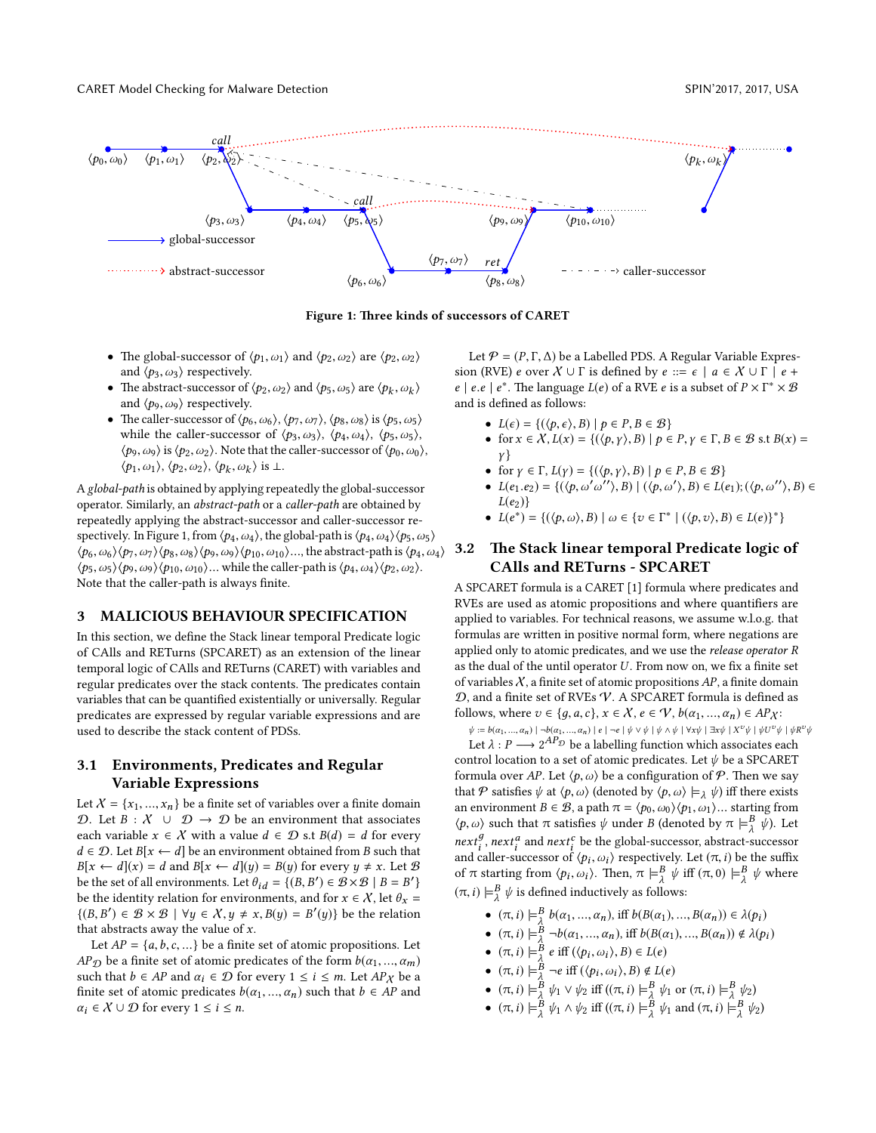<span id="page-2-0"></span>

Figure 1: Three kinds of successors of CARET

- The global-successor of  $\langle p_1, \omega_1 \rangle$  and  $\langle p_2, \omega_2 \rangle$  are  $\langle p_2, \omega_2 \rangle$ and  $\langle p_3, \omega_3 \rangle$  respectively.
- The abstract-successor of  $\langle p_2, \omega_2 \rangle$  and  $\langle p_5, \omega_5 \rangle$  are  $\langle p_k, \omega_k \rangle$ and  $\langle p_9, \omega_9 \rangle$  respectively.
- The caller-successor of  $\langle p_6, \omega_6 \rangle$ ,  $\langle p_7, \omega_7 \rangle$ ,  $\langle p_8, \omega_8 \rangle$  is  $\langle p_5, \omega_5 \rangle$ while the caller-successor of  $\langle p_3, \omega_3 \rangle$ ,  $\langle p_4, \omega_4 \rangle$ ,  $\langle p_5, \omega_5 \rangle$ ,  $\langle p_9, \omega_9 \rangle$  is  $\langle p_2, \omega_2 \rangle$ . Note that the caller-successor of  $\langle p_0, \omega_0 \rangle$ ,  $\langle p_1, \omega_1 \rangle, \langle p_2, \omega_2 \rangle, \langle p_k, \omega_k \rangle$  is  $\perp$ .

 $\frac{d}{dx}$  and  $\frac{d}{dx}$  and  $\frac{d}{dx}$  and  $\frac{d}{dx}$  applying repeatedly the global-successor operator. Similarly, an abstract-path or a caller-path are obtained by repeatedly applying the abstract-successor and caller-successor re-spectively. In Figure [1,](#page-2-0) from  $\langle p_4, \omega_4 \rangle$ , the global-path is  $\langle p_4, \omega_4 \rangle \langle p_5, \omega_5 \rangle$  $\langle p_6, \omega_6 \rangle \langle p_7, \omega_7 \rangle \langle p_8, \omega_8 \rangle \langle p_9, \omega_9 \rangle \langle p_{10}, \omega_{10} \rangle \dots$ , the abstract-path is  $\langle p_4, \omega_4 \rangle$  $\langle p_5, \omega_5 \rangle$  $\langle p_9, \omega_9 \rangle$  $\langle p_{10}, \omega_{10} \rangle$ ... while the caller-path is  $\langle p_4, \omega_4 \rangle$  $\langle p_2, \omega_2 \rangle$ . Note that the caller-path is always finite.

## 3 MALICIOUS BEHAVIOUR SPECIFICATION

In this section, we define the Stack linear temporal Predicate logic of CAlls and RETurns (SPCARET) as an extension of the linear temporal logic of CAlls and RETurns (CARET) with variables and regular predicates over the stack contents. The predicates contain variables that can be quantified existentially or universally. Regular predicates are expressed by regular variable expressions and are used to describe the stack content of PDSs.

### <span id="page-2-1"></span>3.1 Environments, Predicates and Regular Variable Expressions

Let  $X = \{x_1, ..., x_n\}$  be a finite set of variables over a finite domain D. Let  $B : X \cup D \rightarrow D$  be an environment that associates each variable  $x \in \mathcal{X}$  with a value  $d \in \mathcal{D}$  s.t  $B(d) = d$  for every  $d \in \mathcal{D}$ . Let  $B[x \leftarrow d]$  be an environment obtained from B such that  $B[x \leftarrow d](x) = d$  and  $B[x \leftarrow d](y) = B(y)$  for every  $y \neq x$ . Let  $B$ be the set of all environments. Let  $\theta_{id} = \{ (B, B') \in \mathcal{B} \times \mathcal{B} \mid B = B' \}$ <br>be the identity relation for environments, and for  $x \in X$ , let  $\theta_{i,j}$ be the identity relation for environments, and for  $x \in \mathcal{X}$ , let  $\theta_x =$  $\{(B, B') \in \mathcal{B} \times \mathcal{B} \mid \forall y \in \mathcal{X}, y \neq x, B(y) = B'(y)\}\)$  be the relation that abstracts away the value of x that abstracts away the value of  $x$ .

Let  $AP = \{a, b, c, ...\}$  be a finite set of atomic propositions. Let  $AP_{\mathcal{D}}$  be a finite set of atomic predicates of the form  $b(\alpha_1, ..., \alpha_m)$ such that  $b \in AP$  and  $\alpha_i \in \mathcal{D}$  for every  $1 \le i \le m$ . Let  $AP\chi$  be a finite set of atomic predicates  $b(\alpha_1, ..., \alpha_n)$  such that  $b \in AP$  and  $\alpha_i \in \mathcal{X} \cup \mathcal{D}$  for every  $1 \leq i \leq n$ .

Let  $\mathcal{P} = (P, \Gamma, \Delta)$  be a Labelled PDS. A Regular Variable Expression (RVE) e over  $X \cup \Gamma$  is defined by  $e ::= \epsilon \mid a \in X \cup \Gamma \mid e +$ e | e.e | e<sup>\*</sup>. The language  $L(e)$  of a RVE e is a subset of  $P \times \Gamma^* \times B$ <br>and is defined as follows: and is defined as follows:

- $L(\epsilon) = \{ (\langle p, \epsilon \rangle, B) \mid p \in P, B \in \mathcal{B} \}$
- for  $x \in \mathcal{X}, L(x) = \{(\langle p, \gamma \rangle, B) \mid p \in P, \gamma \in \Gamma, B \in \mathcal{B} \text{ s.t } B(x) =$ γ }
- for  $\gamma \in \Gamma$ ,  $L(\gamma) = \{(\langle p, \gamma \rangle, B) \mid p \in P, B \in \mathcal{B}\}\$
- $L(e_1,e_2) = \{(\langle p, \omega' \rangle\})$  $\omega''$ , B)  $(\langle p, \omega' \rangle, B) \in L(e_1); (\langle p, \omega'' \rangle, B) \in$  $L(e_2)$
- $L(e^*) = \{ (\langle p, \omega \rangle, B) \mid \omega \in \{ v \in \Gamma^* \mid (\langle p, v \rangle, B) \in L(e) \}^* \}$

## 3.2 The Stack linear temporal Predicate logic of CAlls and RETurns - SPCARET

A SPCARET formula is a CARET [\[1\]](#page-9-9) formula where predicates and RVEs are used as atomic propositions and where quantifiers are applied to variables. For technical reasons, we assume w.l.o.g. that formulas are written in positive normal form, where negations are applied only to atomic predicates, and we use the release operator R as the dual of the until operator  $U$ . From now on, we fix a finite set of variables  $X$ , a finite set of atomic propositions  $AP$ , a finite domain  $D$ , and a finite set of RVEs  $V$ . A SPCARET formula is defined as follows, where  $v \in \{q, a, c\}$ ,  $x \in \mathcal{X}$ ,  $e \in \mathcal{V}$ ,  $b(\alpha_1, ..., \alpha_n) \in AP_{\mathcal{X}}$ :

 $\psi := b(\alpha_1, ..., \alpha_n) | -b(\alpha_1, ..., \alpha_n) | e | -e | \psi \vee \psi | \psi \wedge \psi | \forall x \psi | \exists x \psi | X^v \psi | \psi U^v \psi | \psi R^v \psi$ <br>Let  $\lambda \cdot P \longrightarrow 2^{AP_D}$  be a labelling function which associates each Let  $\lambda : P \longrightarrow 2^{AP_D}$  be a labelling function which associates each attraction to a set of atomic predicates. Let  $\psi$  be a SPCAPET control location to a set of atomic predicates. Let  $\psi$  be a SPCARET formula over AP. Let  $\langle p, \omega \rangle$  be a configuration of P. Then we say that P satisfies  $\psi$  at  $\langle p, \omega \rangle$  (denoted by  $\langle p, \omega \rangle \models_{\lambda} \psi$ ) iff there exists an environment  $B \in \mathcal{B}$ , a path  $\pi = \langle p_0, \omega_0 \rangle \langle p_1, \omega_1 \rangle \dots$  starting from  $\langle p, \omega \rangle$  such that  $\pi$  satisfies  $\psi$  under B (denoted by  $\pi \models_{\lambda}^B \psi$ ). Let  $next_i^g$ , next<sub>i</sub><sup>a</sup> and next<sub>i</sub><sup>c</sup> be the global-successor, abstract-successor<br>and caller-successor of (p. (x) respectively Let ( $\pi$  i) be the suffix and caller-successor of  $\langle p_i, \omega_i \rangle$  respectively. Let  $(\pi, i)$  be the suffix of π starting from  $\langle p_i, \omega_i \rangle$ . Then,  $\pi \models^B_\lambda \psi$  iff  $(\pi, 0) \models^B_\lambda \psi$  where  $(\pi, i) \models^B_{\lambda} \psi$  is defined inductively as follows:

- λ (π,i) |<sup>=</sup> B λ <sup>b</sup>(α1, ..., <sup>α</sup>n), i <sup>b</sup>(B(α1), ..., <sup>B</sup>(αn)) ∈ <sup>λ</sup>(pi)
- $\bullet$   $(\pi, i) \models^B \neg b(\alpha_1, ..., \alpha_n)$ , iff  $b(B(\alpha_1), ..., B(\alpha_n)) \notin \lambda(p_i)$
- $(\pi, i) \models_{\lambda}^{B} e \text{ iff } (\langle p_i, \omega_i \rangle, B) \in L(e)$
- $(\pi, i) \models_{\lambda}^B \neg e \text{ iff } (\langle p_i, \omega_i \rangle, B) \notin L(e)$
- $(\pi, i) \models^B \psi_1 \lor \psi_2$  iff  $((\pi, i) \models^B \psi_1 \text{ or } (\pi, i) \models^B \psi_2)$ <br>
  $(\pi, i) \models^B \psi_1 \land \psi_2$  iff  $((\pi, i) \models^B \psi_2 \text{ and } (\pi, i) \models^B \psi_1$
- $(\pi, i) \models^B_\lambda \psi_1 \land \psi_2$  iff  $((\pi, i) \models^B_\lambda \psi_1$  and  $(\pi, i) \models^B_\lambda \psi_2)$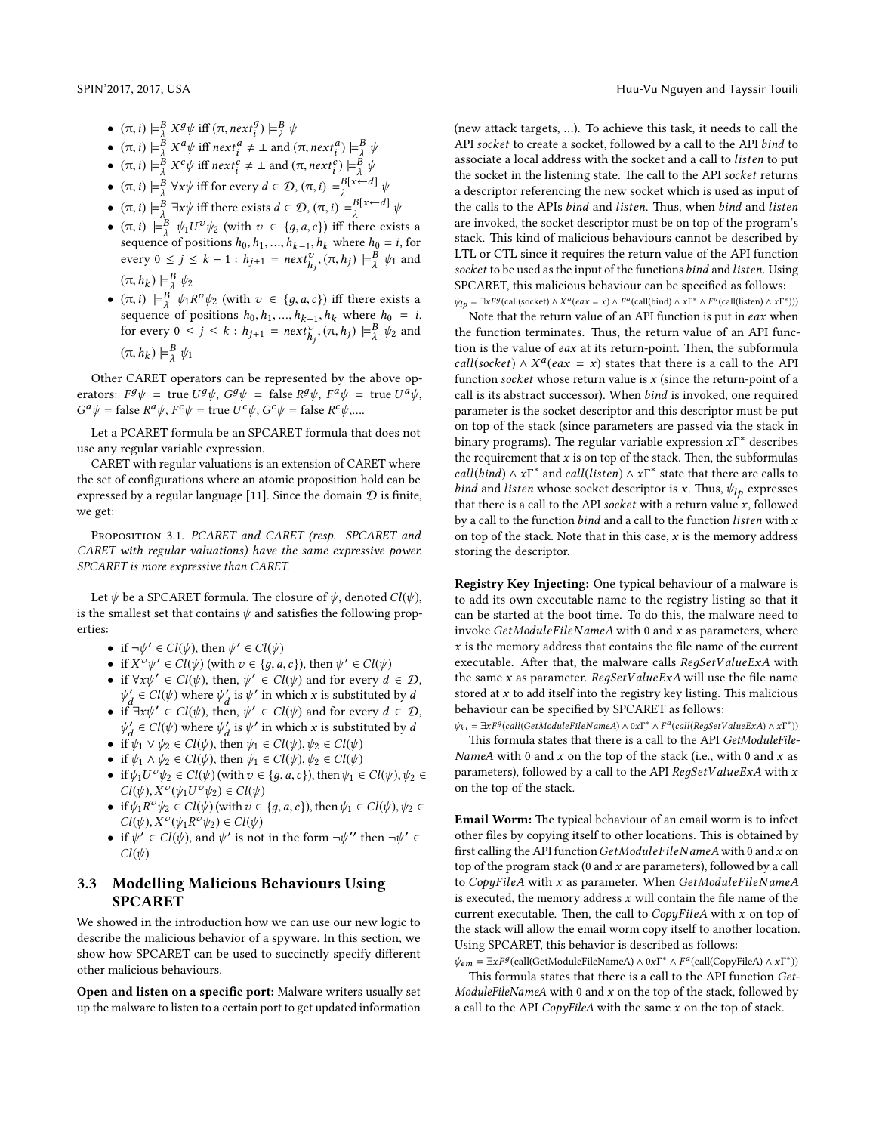- $(π, i) \models^B_\lambda X^g \psi$  iff  $(π, next_i^g)$ <br>
  $(π, i) \models^B Y^a \psi$  iff  $next^a \neq$
- (π, i)  $\models_A^B X^g \psi$  iff  $(\pi, next_i^g) \models_A^B \psi$ <br>
 (π, i)  $\models_B^B X^a \psi$  iff  $next_i^a \neq \bot$  and  $(\pi, next_i^a)$ <br>
 (π, i)  $\models B X^c \psi$  iff  $next_i^c \neq \bot$  and  $(\pi, next_i^c)$
- (π, i)  $\models^B_\lambda X^a\psi$  iff next<sup>a</sup>  $\neq \bot$  and (π, next<sup>a</sup>)  $\models^B_\lambda \psi$ <br>
 (π, i)  $\models^B_\lambda X^c\psi$  iff next<sup>c</sup>  $\neq \bot$  and (π, next<sup>c</sup>)  $\models^B_\lambda \psi$ <br>  $\models^B_\lambda \psi$
- λ X i i λ ψ (π,i) |<sup>=</sup> B λ <sup>∀</sup>xψ i for every d ∈ D, (π,i) |<sup>=</sup> B[x←d]
- (π, i)  $\begin{bmatrix} B \\ B \end{bmatrix} \exists x \psi$  iff there exists  $d \in \mathcal{D}$ ,  $(\pi, i) \begin{bmatrix} B \\ B \end{bmatrix} [x-d]$
- (π, i)  $\begin{bmatrix} \frac{B}{A} & \frac{B}{A} & \frac{C}{B} \\ \frac{C}{B} & \frac{C}{B} & \frac{C}{B} \end{bmatrix}$  (with  $v \in \{g, a, c\}$ ) iff there exists a sequence of positions he has help has where he = i for sequence of positions  $h_0, h_1, ..., h_{k-1}, h_k$  where  $h_0 = i$ , for<br>every  $0 \le i \le k-1$ ;  $h_{i,j} = nert^v$  ( $\pi h_{i,j} \models^B y'_{i,j}$  and every  $0 \le j \le k - 1$ :  $h_{j+1} = \text{next}_{h_j}^v, (\pi, h_j) \models_{\lambda}^B \psi_1$  and
- $(\pi, h_k) \models^B_{\lambda} \psi_2$ •  $(\pi, i) \models_{\Lambda}^{\overline{B}} \psi_1 R^v \psi_2$  (with  $v \in \{g, a, c\}$ ) iff there exists a sequence of positions  $h_0, h_1, ..., h_{k-1}, h_k$  where  $h_0 = i$ . sequence of positions  $h_0, h_1, ..., h_{k-1}, h_k$  where  $h_0 = i$ ,<br>for every  $0 \le i \le k$ ,  $h_{k+1} = n e x t^{\nu}$  ( $\pi h_1 \models b$   $h_0$  and for every  $0 \le j \le k : h_{j+1} = \text{next}_{h_j}^v, (\pi, h_j) \models_{\lambda}^B \psi_2$  and  $(\pi, h_k) \models^B_{\lambda} \psi_1$

λ Other CARET operators can be represented by the above operators:  $F^g \psi = \text{true } U^g \psi$ ,  $G^g \psi = \text{false } R^g \psi$ ,  $F^a \psi = \text{true } U^a \psi$ ,<br>  $G^g \psi = \text{false } R^g \psi$ ,  $F^c \psi = \text{true } U^g \psi$  $G^a \psi = \text{false } R^a \psi, F^c \psi = \text{true } U^c \psi, G^c \psi = \text{false } R^c \psi, ...$ 

Let a PCARET formula be an SPCARET formula that does not use any regular variable expression.

CARET with regular valuations is an extension of CARET where the set of configurations where an atomic proposition hold can be expressed by a regular language [\[11\]](#page-9-4). Since the domain  $D$  is finite, we get:

PROPOSITION 3.1. PCARET and CARET (resp. SPCARET and CARET with regular valuations) have the same expressive power. SPCARET is more expressive than CARET.

Let  $\psi$  be a SPCARET formula. The closure of  $\psi$ , denoted  $Cl(\psi)$ , is the smallest set that contains  $\psi$  and satisfies the following properties:

- if  $\neg \psi' \in Cl(\psi)$ , then  $\psi' \in Cl(\psi)$ <br>• if  $X^{\nu} \psi' \in Cl(\psi)$  (with  $\psi \in La$ )
- if  $X^v \psi' \in Cl(\psi)$  (with  $v \in \{g, a, c\}$ ), then  $\psi' \in Cl(\psi)$ <br>• if  $\forall x \psi' \in Cl(\psi)$  then  $\psi' \in Cl(\psi)$  and for every d
- if  $\forall x \psi \in Cl(\psi)$  (with  $v \in \{g, a, c\}$ ), then  $\psi \in Cl(\psi)$ <br>• if  $\forall x \psi' \in Cl(\psi)$ , then,  $\psi' \in Cl(\psi)$  and for every  $d \in \mathcal{D}$ ,  $\psi' \in Cl(\psi)$  where  $\psi'$  is  $\psi'$  in which x is substituted by d  $\mathcal{U}_d \in Cl(\psi)$  where  $\psi'_d$  is  $\psi'$  in which x is substituted by d<br>  $\exists w \psi' \in Cl(\psi)$  then  $\psi' \in Cl(\psi)$  and for every d  $\in \mathcal{I}$
- $\oint_{\mathcal{U}} d \vec{r} = d(\psi)$ , then,  $\psi' \in Cl(\psi)$  and for every  $d \in \mathcal{D}$ ,<br>
if  $\exists x \psi' \in Cl(\psi)$  where  $\psi'$  is  $\psi'$  in which x is substituted by d  $\mathcal{U}_d \in Cl(\psi)$  where  $\psi'_d$  is  $\psi'$  in which x is substituted by d<br> $\psi_d \sim \mathcal{U}_d$  =  $Cl(\psi)$ , then  $\psi_d \in Cl(\psi)$  and  $\mathcal{U}_d \in Cl(\psi)$
- $\begin{aligned} \n\mathbf{u} &= \mathbf{u} \cdot \mathbf{v} + \mathbf{u} \cdot \mathbf{u} \cdot \mathbf{u} \cdot \mathbf{u} \cdot \mathbf{v} \cdot \mathbf{v} \cdot \mathbf{v} \cdot \mathbf{v} \cdot \mathbf{v} \cdot \mathbf{v} \cdot \mathbf{v} \cdot \mathbf{v} \cdot \mathbf{v} \cdot \mathbf{v} \cdot \mathbf{v} \cdot \mathbf{v} \cdot \mathbf{v} \cdot \mathbf{v} \cdot \mathbf{v} \cdot \mathbf{v} \cdot \mathbf{v} \cdot \mathbf{v} \cdot \mathbf{v} \cdot \mathbf{$
- if  $\psi_1 \wedge \psi_2 \in Cl(\psi)$ , then  $\psi_1 \in Cl(\psi)$ ,  $\psi_2 \in Cl(\psi)$
- if  $\psi_1 U^v \psi_2 \in Cl(\psi)$  (with  $v \in \{g, a, c\}$ ), then  $\psi_1 \in Cl(\psi), \psi_2 \in Cl(\psi)$ ,  $\psi_2 \in Cl(\psi)$  $Cl(\psi), X^{\nu}(\psi_1 U^{\nu} \psi_2) \in Cl(\psi)$ <br>if the  $R^{\nu}$  the  $\in Cl(\psi)$  (with  $\psi \in$
- if  $\psi_1 R^v \psi_2 \in Cl(\psi)$  (with  $v \in \{g, a, c\}$ ), then  $\psi_1 \in Cl(\psi), \psi_2 \in Cl(\psi)$ ,  $\psi_2 \in Cl(\psi)$  $Cl(\psi), X^{\nu}(\psi_1 R^{\nu} \psi_2) \in Cl(\psi)$ <br>if  $\psi' \in Cl(\psi)$  and  $\psi'$  is not
- if  $\psi' \in Cl(\psi)$ , and  $\psi'$  is not in the form  $\neg \psi''$  then  $\neg \psi' \in Cl(\psi)$  $Cl(\psi)$

## 3.3 Modelling Malicious Behaviours Using SPCARET

We showed in the introduction how we can use our new logic to describe the malicious behavior of a spyware. In this section, we show how SPCARET can be used to succinctly specify different other malicious behaviours.

Open and listen on a specific port: Malware writers usually set up the malware to listen to a certain port to get updated information (new attack targets, ...). To achieve this task, it needs to call the API socket to create a socket, followed by a call to the API bind to associate a local address with the socket and a call to listen to put the socket in the listening state. The call to the API socket returns a descriptor referencing the new socket which is used as input of the calls to the APIs bind and listen. Thus, when bind and listen are invoked, the socket descriptor must be on top of the program's stack. This kind of malicious behaviours cannot be described by LTL or CTL since it requires the return value of the API function socket to be used as the input of the functions bind and listen. Using SPCARET, this malicious behaviour can be specified as follows:

 $\psi_{lp} = \exists x F^g \text{(call(soscket)} \land X^a (eax = x) \land F^a \text{(call(bind)} \land x \Gamma^* \land F^a \text{(call(sisten)} \land x \Gamma^*))$ Note that the return value of an API function is put in eax when the function terminates. Thus, the return value of an API function is the value of  $eax$  at its return-point. Then, the subformula call(socket)  $\land X^a(eax = x)$  states that there is a call to the API<br>function socket whose return value is x (since the return-point of a function socket whose return value is  $x$  (since the return-point of a call is its abstract successor). When bind is invoked, one required parameter is the socket descriptor and this descriptor must be put on top of the stack (since parameters are passed via the stack in binary programs). The regular variable expression  $x\Gamma^*$  describes<br>the requirement that x is on top of the stack. Then, the subformulas the requirement that  $x$  is on top of the stack. Then, the subformulas call(bind)  $\wedge x\Gamma^*$  and call(listen)  $\wedge x\Gamma^*$  state that there are calls to hind and listen whose socket descriptor is x. Thus,  $\psi$  expresses bind and listen whose socket descriptor is x. Thus,  $\psi_{l\boldsymbol{p}}$  expresses that there is a call to the API socket with a return value  $x$ , followed by a call to the function  $bind$  and a call to the function  $listen$  with  $x$ on top of the stack. Note that in this case,  $x$  is the memory address storing the descriptor.

Registry Key Injecting: One typical behaviour of a malware is to add its own executable name to the registry listing so that it can be started at the boot time. To do this, the malware need to invoke  $GetModuleFileNameA$  with 0 and  $x$  as parameters, where  $x$  is the memory address that contains the file name of the current executable. After that, the malware calls  $RegSetValueExA$  with the same  $x$  as parameter. RegSetValueExA will use the file name stored at  $x$  to add itself into the registry key listing. This malicious behaviour can be specified by SPCARET as follows:

 $\psi_{ki} = \exists x F^g \text{(call(GetModuleFileNameA)} \land 0x\Gamma^* \land F^a \text{(call(RegSetValueExA)} \land x\Gamma^*)\text{)}$ <br>This formula states that there is a call to the ADI *CetModuleFile* This formula states that there is a call to the API GetModuleFile-

NameA with 0 and  $x$  on the top of the stack (i.e., with 0 and  $x$  as parameters), followed by a call to the API  $RegSetValueExA$  with  $x$ on the top of the stack.

Email Worm: The typical behaviour of an email worm is to infect other files by copying itself to other locations. This is obtained by first calling the API function GetModuleFileNameA with 0 and x on top of the program stack (0 and  $x$  are parameters), followed by a call to CopyFileA with x as parameter. When GetModuleFileNameA is executed, the memory address  $x$  will contain the file name of the current executable. Then, the call to  $CopyFileA$  with  $x$  on top of the stack will allow the email worm copy itself to another location. Using SPCARET, this behavior is described as follows:

 $\psi_{em} = \exists x F^g$ (call(GetModuleFileNameA) ∧ 0xΓ<sup>\*</sup> ∧  $F^a$ (call(CopyFileA) ∧ xΓ<sup>\*</sup>)) This formula states that there is a call to the API function Get-ModuleFileNameA with 0 and  $x$  on the top of the stack, followed by a call to the API CopyFileA with the same x on the top of stack.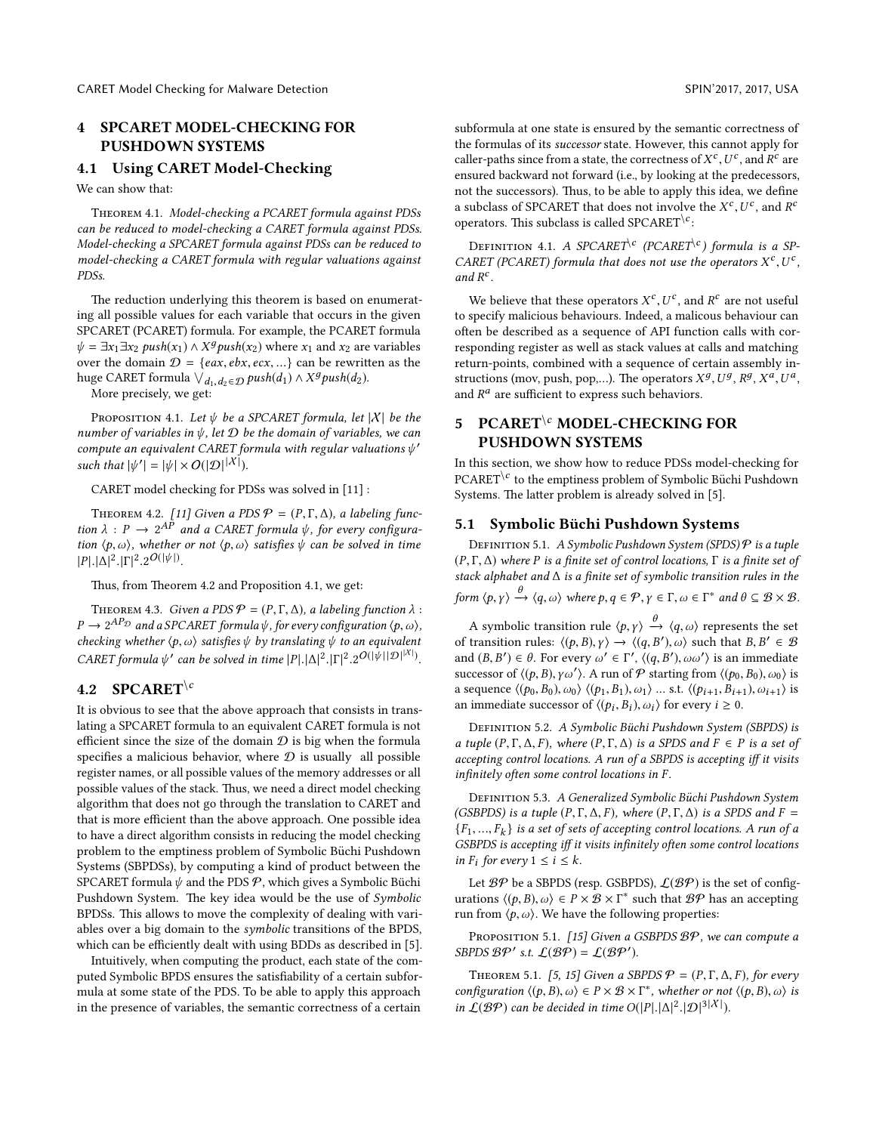## 4 SPCARET MODEL-CHECKING FOR PUSHDOWN SYSTEMS

#### 4.1 Using CARET Model-Checking

We can show that:

Theorem 4.1. Model-checking a PCARET formula against PDSs can be reduced to model-checking a CARET formula against PDSs. Model-checking a SPCARET formula against PDSs can be reduced to model-checking a CARET formula with regular valuations against PDSs.

The reduction underlying this theorem is based on enumerating all possible values for each variable that occurs in the given SPCARET (PCARET) formula. For example, the PCARET formula  $\psi = \exists x_1 \exists x_2 \; push(x_1) \land X^g push(x_2)$  where  $x_1$  and  $x_2$  are variables<br>over the domain  $\Omega = \text{f} \text{g} \text{g} \text{g} \text{g} \text{g} \text{g} \text{g}$ . can be rewritten as the over the domain  $D = \{eax, ebx, ecx, ...\}$  can be rewritten as the huge CARET formula  $\bigvee_{d_1, d_2 \in \mathcal{D}} push(d_1) \wedge X^g push(d_2)$ .<br>More precisely we get:

More precisely, we get:

<span id="page-4-1"></span>PROPOSITION 4.1. Let  $\psi$  be a SPCARET formula, let  $|X|$  be the number of variables in  $\psi$ , let  $\mathcal D$  be the domain of variables, we can compute an equivalent CARET formula with regular valuations  $\psi'$ <br>cush that  $|\psi'| = |\psi| \times O(|\mathcal{D}||\mathcal{X}|)$ such that  $|\psi'| = |\psi| \times O(|\mathcal{D}|^{|X|}).$ 

CARET model checking for PDSs was solved in [\[11\]](#page-9-4) :

<span id="page-4-0"></span>THEOREM 4.2. [\[11\]](#page-9-4) Given a PDS  $\mathcal{P} = (P, \Gamma, \Delta)$ , a labeling function  $\lambda$  :  $P \rightarrow 2^{A\overline{P}}$  and a CARET formula  $\psi$ , for every configura- $^{AP}$  and a CARET formula  $\psi$ , for every configura-<br>ther or not (n ω) satisfies  $\psi$  can be solved in time tion  $\langle p, \omega \rangle$ , whether or not  $\langle p, \omega \rangle$  satisfies  $\psi$  can be solved in time<br> $\frac{|\mathbf{p}|}{|\mathbf{p}|^2} \frac{|\mathbf{p}|^2}{2} \frac{Q(|\psi|)}{|\mathbf{p}|^2}$  $|P| \cdot |\Delta|^2 \cdot |\Gamma|^2 \cdot 2^{O(|\psi|)}.$ 

Thus, from Theorem [4.2](#page-4-0) and Proposition [4.1,](#page-4-1) we get:

THEOREM 4.3. Given a PDS  $\mathcal{P} = (P, \Gamma, \Delta)$ , a labeling function  $\lambda$ :  $P \to 2^{AP_D}$  and a SPCARET formula  $\psi$ , for every configuration  $\langle p, \omega \rangle$ ,<br>checking whether  $\langle p, \omega \rangle$  satisfies  $\psi$  by translating  $\psi$  to an equivalent checking whether  $\langle p, \omega \rangle$  satisfies  $\psi$  by translating  $\psi$  to an equivalent CARET formula  $\psi'$  can be solved in time  $|P|.|\Delta|^2.|\Gamma|^2.2^{\mathcal{O}(|\psi||\mathcal{D}|^{|\mathcal{X}|})}$ .

## 4.2 **SPCARET** $\{c\}$

It is obvious to see that the above approach that consists in translating a SPCARET formula to an equivalent CARET formula is not efficient since the size of the domain  $D$  is big when the formula specifies a malicious behavior, where  $D$  is usually all possible register names, or all possible values of the memory addresses or all possible values of the stack. Thus, we need a direct model checking algorithm that does not go through the translation to CARET and that is more efficient than the above approach. One possible idea to have a direct algorithm consists in reducing the model checking problem to the emptiness problem of Symbolic Büchi Pushdown Systems (SBPDSs), by computing a kind of product between the SPCARET formula  $\psi$  and the PDS  $\mathcal P$ , which gives a Symbolic Büchi Pushdown System. The key idea would be the use of Symbolic BPDSs. This allows to move the complexity of dealing with variables over a big domain to the symbolic transitions of the BPDS, which can be efficiently dealt with using BDDs as described in [\[5\]](#page-9-12).

Intuitively, when computing the product, each state of the computed Symbolic BPDS ensures the satisfiability of a certain subformula at some state of the PDS. To be able to apply this approach in the presence of variables, the semantic correctness of a certain

subformula at one state is ensured by the semantic correctness of the formulas of its successor state. However, this cannot apply for caller-paths since from a state, the correctness of  $X^c$ ,  $U^c$ , and  $R^c$  are<br>ansured backward not forward (i.e., by looking at the predecessors ensured backward not forward (i.e., by looking at the predecessors, not the successors). Thus, to be able to apply this idea, we define a subclass of SPCARET that does not involve the  $X^c$ ,  $U^c$ , and  $R^c$ <br>operators. This subclass is called SPCARET\<sup>c</sup>. operators. This subclass is called SPCARET<sup>\c</sup>:

DEFINITION 4.1. A SPCARET<sup>\c</sup> (PCARET<sup>\c</sup>) formula is a SP-CARET (PCARET) formula that does not use the operators  $X^c$ ,  $U^c$ , and  $P^c$  $\ddot{\phantom{1}}$ and  $R^c$ .

We believe that these operators  $X^c$ ,  $U^c$ , and  $R^c$  are not useful<br>specify malicious behaviours, Indeed, a malicous behaviour can to specify malicious behaviours. Indeed, a malicous behaviour can often be described as a sequence of API function calls with corresponding register as well as stack values at calls and matching return-points, combined with a sequence of certain assembly instructions (mov, push, pop,...). The operators  $X^g$ ,  $U^g$ ,  $R^g$ ,  $X^a$ ,  $U^a$ , and  $R^a$  are sufficient to express such behaviors and  $R^a$  are sufficient to express such behaviors.

# 5 PCARET\c MODEL-CHECKING FOR PUSHDOWN SYSTEMS

In this section, we show how to reduce PDSs model-checking for  $\mathsf{PCARET}^{\backslash c}$  to the emptiness problem of Symbolic Büchi Pushdown Systems. The latter problem is already solved in [\[5\]](#page-9-12).

#### 5.1 Symbolic Büchi Pushdown Systems

DEFINITION 5.1. A Symbolic Pushdown System (SPDS)  $P$  is a tuple  $(P, \Gamma, \Delta)$  where P is a finite set of control locations,  $\Gamma$  is a finite set of stack alphabet and  $\Delta$  is a finite set of symbolic transition rules in the form  $\langle p, \gamma \rangle \stackrel{\theta}{\rightarrow} \langle q, \omega \rangle$  where  $p, q \in \mathcal{P}, \gamma \in \Gamma, \omega \in \Gamma^*$  and  $\theta \subseteq \mathcal{B} \times \mathcal{B}$ .

A symbolic transition rule  $\langle p, \gamma \rangle \stackrel{\theta}{\rightarrow} \langle q, \omega \rangle$  represents the set<br>transition rules:  $\langle (p, R) | \chi \rangle \rightarrow \langle (q, R') | \omega \rangle$  such that  $R, R' \in \mathcal{R}$ of transition rules:  $\langle (p, B), \gamma \rangle \rightarrow \langle (q, B'), \omega \rangle$  such that  $B, B' \in \mathcal{B}$ <br>and  $(B, B') \in \mathcal{A}$ . For every  $\omega' \in \Gamma' / (q, B')$  ( $\omega \rangle'$ ) is an immediate and  $(B, B') \in \theta$ . For every  $\omega' \in \Gamma'$ ,  $\langle (q, B'), \omega \omega' \rangle$  is an immediate<br>successor of  $\langle (q, B), \nu \omega' \rangle$ . A run of  $\Phi$  starting from  $\langle (p, B_2), \nu \rangle$  is successor of  $\langle (p, B), \gamma \omega' \rangle$ . A run of  $P$  starting from  $\langle (p_0, B_0), \omega_0 \rangle$  is a sequence  $\langle (p_0, B_0), \omega_0 \rangle \langle (p_1, B_1), \omega_1 \rangle$  … s.t.  $\langle (p_{i+1}, B_{i+1}), \omega_{i+1} \rangle$  is an immediate successor of  $\langle (p_i, B_i), \omega_i \rangle$  for every  $i \ge 0$ .

DEFINITION 5.2. A Symbolic Büchi Pushdown System (SBPDS) is a tuple  $(P, \Gamma, \Delta, F)$ , where  $(P, \Gamma, \Delta)$  is a SPDS and  $F \in P$  is a set of accepting control locations. A run of a SBPDS is accepting iff it visits infinitely often some control locations in  $F$ .

DEFINITION 5.3. A Generalized Symbolic Büchi Pushdown System (GSBPDS) is a tuple  $(P, \Gamma, \Delta, F)$ , where  $(P, \Gamma, \Delta)$  is a SPDS and  $F =$  ${F_1, ..., F_k}$  is a set of sets of accepting control locations. A run of a<br>GSBPDS is accepting iff it visits infinitely often some control locations GSBPDS is accepting iff it visits infinitely often some control locations in  $F_i$  for every  $1 \le i \le k$ .

Let  $BP$  be a SBPDS (resp. GSBPDS),  $\mathcal{L}(BP)$  is the set of configurations  $\langle (p, B), \omega \rangle \in P \times \mathcal{B} \times \Gamma^*$  such that  $\mathcal{B} \mathcal{P}$  has an accepting<br>run from  $\langle h, \omega \rangle$ . We have the following properties: run from  $\langle p, \omega \rangle$ . We have the following properties:

PROPOSITION 5.1. [\[15\]](#page-9-6) Given a GSBPDS BP, we can compute a SBPDS  $\mathcal{BP}'$  s.t.  $\mathcal{L}(\mathcal{BP}) = \mathcal{L}(\mathcal{BP}')$ .

<span id="page-4-2"></span>THEOREM 5.1. [\[5,](#page-9-12) [15\]](#page-9-6) Given a SBPDS  $P = (P, \Gamma, \Delta, F)$ , for every configuration  $\langle (p, B), \omega \rangle \in P \times B \times \Gamma^*$ , whether or not  $\langle (p, B), \omega \rangle$  is<br>in  $\Gamma(\mathcal{B}\mathcal{D})$  can be decided in time  $O(|D| |\Lambda|^2 |\mathcal{D}|^3 |X|)$ . in  $\mathcal{L}(\mathcal{BP})$  can be decided in time  $O(|P| |\Delta|^2 | \mathcal{D}|^{3|X|})$ .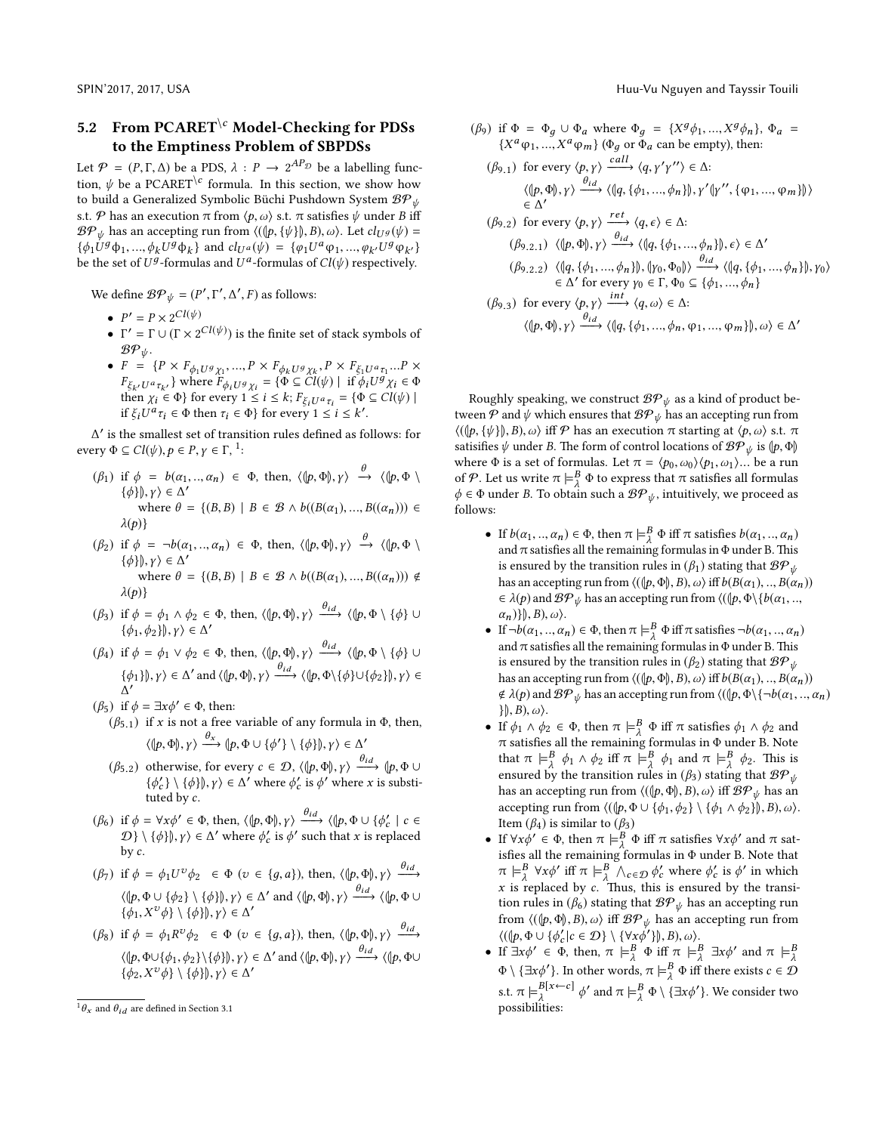# <span id="page-5-1"></span>5.2 From PCARET $\backslash c$  Model-Checking for PDSs to the Emptiness Problem of SBPDSs

Let  $\mathcal{P} = (P, \Gamma, \Delta)$  be a PDS,  $\lambda : P \to 2^{AP_D}$  be a labelling func-<br>tion  $\psi$  be a PCAPET<sup>\c</sup> formula. In this section, we above how tion,  $\psi$  be a PCARET<sup>{\c}</sup> formula. In this section, we show how<br>to build a Generalized Symbolic Büchi Pushdown System  $\mathcal{R}\mathcal{P}_\psi$ to build a Generalized Symbolic Büchi Pushdown System  $\mathcal{BP}_{\psi}$ s.t. P has an execution  $\pi$  from  $\langle \rho, \omega \rangle$  s.t.  $\pi$  satisfies  $\psi$  under B iff<br>  $\mathcal{R}\mathcal{P}_k$ , has an accenting run from  $\ell(\phi, f_k(\mathbf{h}, \mathbf{R}) \otimes \mathbf{I})$  at  $cl_{\text{tr}}(\psi)$  $\mathcal{BP}_{\psi}$  has an accepting run from  $\langle (\phi, {\psi})$ ,  $B$ ,  $\omega$ ). Let  $cl_{Ug}(\psi) =$ <br> $\{A, Ug\}_{\psi}$ ,  $\phi, Ug\}_{\psi}$ , and  $cl_{Vg}(\psi) = \{g, Ug\}_{\psi}$ ,  $\omega, Ug_{\psi}$  $\{\phi_1 U^g \phi_1, ..., \phi_k U^g \phi_k\}$  and  $cl_{U^a}(\psi) = \{\phi_1 U^a \phi_1, ..., \phi_k U^g \phi_{k'}\}$ <br>be the set of  $U^g$ -formulas and  $U^a$ -formulas of  $Cl(\psi)$  respectively be the set of  $U^g$ -formulas and  $U^a$ -formulas of  $Cl(\psi)$  respectively.

We define  $\mathcal{BP}_{\psi} = (P')^T$ , Γ  $\overline{\phantom{0}}$  $^{\prime}$  $\prime$ ,  $F$ ) as follows:

- $P' = P \times 2^{Cl(\psi)}$ <br>•  $\Gamma' = \Gamma \cup (\Gamma \times 2)$
- $\bullet$   $\Gamma' = \Gamma \cup (\Gamma \times 2^{Cl(\psi)})$  is the finite set of stack symbols of  $\mathcal{R}\varPhi$ .  $\frac{\mathcal{BP}_{\psi}}{F}$ .
- $F = \{P \times F_{\phi_1 U g \chi_1}, ..., P \times F_{\phi_k U g \chi_k}, P \times F_{\xi_1 U^a \tau_1} ... P \times F_{\xi_k U^a \tau_k} \}$  $F_{\xi k'} U^a \tau_{k'} j$  where  $F_{\phi_i} U^g \chi_i = \{\Psi \subseteq C \ell(\psi) \mid \text{ in } \psi_i U^g \chi_i \in \Psi\}$ <br>then  $\chi_i \in \Phi\}$  for every  $1 \le i \le k$ ;  $F_{\xi_i} U^a \tau_i = \{\Phi \subseteq C \ell(\psi) \mid$ <br>if  $\mathcal{E} \cdot U^a \tau_i \in \Phi$  then  $\tau_i \in \Phi\}$  for every  $1 \le i \le k'$ } where  $F_{\phi_i U^g \chi_i} = {\phi \subseteq \hat{Cl}(\psi) | \text{ if } \phi_i U^g \chi_i \in \Phi}$ <br>  $\phi_i$  for every  $1 \le i \le k$ .  $F_{k \to \infty} = 100 \subset \hat{Cl}(\psi)$ if  $\xi_i U^a \tau_i \in \Phi$  then  $\tau_i \in \Phi$ } for every  $1 \leq i \leq k'$ .

every  $\Phi \subseteq Cl(\psi), p \in P, \gamma \in \Gamma, \frac{1}{2}$  $\Phi \subseteq Cl(\psi), p \in P, \gamma \in \Gamma, \frac{1}{2}$  $\Phi \subseteq Cl(\psi), p \in P, \gamma \in \Gamma, \frac{1}{2}$ : If is the smallest set of transition rules defined as follows: for

- $(\beta_1)$  if  $\phi = b(\alpha_1, ..., \alpha_n) \in \Phi$ , then,  $\langle \phi, \Phi \rangle$ ,  $\gamma \rangle \stackrel{\theta}{\rightarrow} \langle \phi, \Phi \rangle$  $\{\phi\}\}, \gamma \in \Delta'$ <br>where  $\theta$ where  $\theta = \{(B, B) \mid B \in \mathcal{B} \land b((B(\alpha_1), ..., B((\alpha_n))) \in$  $\lambda(p)$ }
- $(\beta_2)$  if  $\phi = \neg b(\alpha_1, ..., \alpha_n) \in \Phi$ , then,  $\langle (\phi, \Phi), \gamma \rangle \stackrel{\theta}{\rightarrow} \langle (\phi, \Phi), \gamma \rangle$  $\{\phi\}\}, \gamma \in \Delta'$ <br>where  $\theta$ where  $\theta = \{(B, B) \mid B \in \mathcal{B} \land b((B(\alpha_1), ..., B(\alpha_n))) \notin$  $\lambda(p)$ }
- $(\beta_3)$  if  $\phi = \phi_1 \land \phi_2 \in \Phi$ , then,  $\langle (\phi, \Phi), \gamma \rangle \xrightarrow{b \, id} \langle (\phi, \Phi \setminus \{\phi\}) \cup$  $\{\phi_1, \phi_2\}\}, \gamma \rangle \in \Delta'$
- $(\beta_4)$  if  $\phi = \phi_1 \vee \phi_2 \in \Phi$ , then,  $\langle \langle p, \Phi \rangle, \gamma \rangle \xrightarrow{\sigma_{id}} \langle \langle p, \Phi \rangle \langle \phi \rangle \cup$  $\{\phi_1\}, \gamma \in \Delta'$  and  $\langle \langle p, \Phi \rangle, \gamma \rangle \stackrel{\sigma_{id}}{\longrightarrow} \langle \langle p, \Phi \rangle \{\phi\} \cup \{\phi_2\}, \gamma \rangle \in \Delta'$  $\Lambda'$
- (β<sub>5</sub>) if  $\phi = \exists x \phi' \in Φ$ , then:<br>(β<sub>5-1</sub>) if x is not a free
- $(\beta_{5.1})$  if x is not a free variable of any formula in  $\Phi$ , then,  $\langle (\phi, \Phi), \gamma \rangle \stackrel{\sigma_x}{\longrightarrow} (\phi, \Phi \cup {\phi'} \setminus {\phi}), \gamma \rangle \in \Delta'$
- $(\beta_{5.2})$  otherwise, for every  $c \in \mathcal{D}, \langle (\phi, \Phi), \gamma \rangle \stackrel{\partial_{id}}{\longrightarrow} (\phi, \Phi \cup$ <br> $\{A'\}\setminus \{A\}\setminus \gamma \in \Lambda'$  where  $A'$  is  $A'$  where x is substituted.  $\{\phi'_{c}\}\ ( \phi'_{c})\ ( \phi\})$ ,  $\gamma\rangle \in \Delta'$  where  $\phi'_{c}$  is  $\phi'$  where x is substituted by c tuted by  $c$ .
- $(\beta_6)$  if  $\phi = \forall x \phi' \in \Phi$ , then,  $\langle (\phi, \Phi), \gamma \rangle \frac{\partial \partial}{\partial \phi}$   $\langle (\phi, \Phi \cup {\phi'_{\epsilon}} \mid c \in \Omega) \rangle$  $\mathcal{D}$ } \ { $\phi$ } $\hat{y}$ ,  $\gamma$  \  $\in \Delta'$  where  $\phi'_c$  is  $\phi'$  such that x is replaced by c.
- $(\beta_7)$  if  $\phi = \phi_1 U^{\nu} \phi_2 \in \Phi$   $(\nu \in \{g, a\})$ , then,  $\langle [\phi, \Phi], \gamma \rangle \xrightarrow{\sigma_{id}}$  $\langle (\phi, \Phi \cup \{\phi_2\} \setminus \{\phi\}], \gamma \rangle \in \Delta' \text{ and } \langle (\phi, \Phi), \gamma \rangle \xrightarrow{ \sigma_{id} } \langle (\phi, \Phi \cup \{\phi, \chi\} \setminus \{\phi\}], \gamma \rangle \in \Delta'$  $\{\phi_1, X^v\phi\} \setminus \{\phi\}\rangle, \gamma \rangle \in \Delta'$
- $(\beta_8)$  if  $\phi = \phi_1 R^v \phi_2 \in \Phi$   $(v \in \{g, a\})$ , then,  $\langle (\phi, \Phi), \gamma \rangle \xrightarrow{\theta_{id}}$  $\langle (\phi, \Phi \cup \{\phi_1, \phi_2\} \setminus \{\phi\}), \gamma \rangle \in \Delta' \text{ and } \langle (\phi, \Phi), \gamma \rangle \stackrel{\text{Uid}}{\longrightarrow} \langle (\phi, \Phi \cup \{\phi_1, \phi_2\} \setminus \{\phi_1\}), \gamma \rangle \in \Delta'$  $\{\phi_2, X^v \phi\} \setminus \{\phi\}\rangle, \gamma \rangle \in \Delta'$

SPIN'2017, 2017, USA Huu-Vu Nguyen and Tayssir Touili

(β9) if  $\Phi = \Phi_g \cup \Phi_a$  where  $\Phi_g = \{X^g \phi_1, ..., X^g \phi_n\}$ ,  $\Phi_a = \{X^g \phi_1, ..., X^g \phi_n\}$ ,  $\Phi_a = \{X^g \phi_1, ..., X^g \phi_n\}$  $\{X^a\varphi_1, ..., X^a\varphi_m\}$  ( $\Phi_g$  or  $\Phi_a$  can be empty), then:

$$
(\beta_{9,1}) \text{ for every } \langle p, \gamma \rangle \xrightarrow{\partial_{id}} \langle q, \gamma' \gamma'' \rangle \in \Delta: \n\langle \langle p, \Phi \rangle, \gamma \rangle \xrightarrow{\theta_{id}} \langle \langle q, \{\phi_1, ..., \phi_n\}\rangle, \gamma' \langle \gamma'', \{\phi_1, ..., \phi_m\}\rangle) \n\in \Delta' \n(\beta_{9,2}) \text{ for every } \langle p, \gamma \rangle \xrightarrow{ret} \langle q, \epsilon \rangle \in \Delta: \n(\beta_{9,2,1}) \langle \langle p, \Phi \rangle, \gamma \rangle \xrightarrow{\theta_{id}} \langle \langle q, \{\phi_1, ..., \phi_n\}\rangle, \epsilon \rangle \in \Delta' \n(\beta_{9,2,2}) \langle \langle q, \{\phi_1, ..., \phi_n\}\rangle, \langle \gamma_0, \Phi_0 \rangle \rangle \xrightarrow{\theta_{id}} \langle \langle q, \{\phi_1, ..., \phi_n\}\rangle, \gamma_0 \rangle \n\in \Delta' \text{ for every } \gamma_0 \in \Gamma, \Phi_0 \subseteq \{\phi_1, ..., \phi_n\} \n(\beta_{9,3}) \text{ for every } \langle p, \gamma \rangle \xrightarrow{int} \langle q, \omega \rangle \in \Delta: \n\langle \langle p, \Phi \rangle, \gamma \rangle \xrightarrow{\theta_{id}} \langle \langle q, \{\phi_1, ..., \phi_n, \phi_1, ..., \phi_m\}\rangle, \omega \rangle \in \Delta' \n\langle \langle p, \Phi \rangle, \gamma \rangle \xrightarrow{\theta_{id}} \langle \langle q, \{\phi_1, ..., \phi_n, \phi_1, ..., \phi_m\}\rangle, \omega \rangle \in \Delta' \n\langle \langle p, \Phi \rangle, \gamma \rangle \xrightarrow{\theta_{id}} \langle \langle q, \{\phi_1, ..., \phi_n, \phi_1, ..., \phi_m\}\rangle, \omega \rangle \in \Delta' \n\langle \langle p, \Phi \rangle, \gamma \rangle \xrightarrow{\theta_{id}} \langle \langle q, \{\phi_1, ..., \phi_n, \phi_1, ..., \phi_m\}\rangle, \omega \rangle \in \Delta' \n\langle \langle p, \Phi \rangle, \gamma \rangle \xrightarrow{\theta_{id}} \langle \langle q, \{\phi_1, ..., \phi_n, \phi_1, ..., \phi_m\}\rangle, \omega \rangle \in \Delta' \n\langle \langle p, \Phi \rangle, \gamma \rangle \xrightarrow{\theta_{id}} \
$$

Roughly speaking, we construct  $B\mathcal{P}_{\psi}$  as a kind of product be-<br>een  $\mathcal{P}$  and  $\psi$  which ensures that  $B\mathcal{P}_{\psi}$  has an accenting run from tween  $\mathcal P$  and  $\psi$  which ensures that  $\mathcal{BP}_{\psi}$  has an accepting run from  $\langle (\phi, {\psi}], B, \omega \rangle$  iff  $P$  has an execution  $\pi$  starting at  $\langle p, \omega \rangle$  s.t.  $\pi$ satisifies  $\psi$  under B. The form of control locations of  $\mathcal{BP}_{\psi}$  is  $(\mathbf{p}, \Phi)$ where  $\Phi$  is a set of formulas. Let  $\pi = \langle p_0, \omega_0 \rangle \langle p_1, \omega_1 \rangle \dots$  be a run of P. Let us write  $\pi \models^B_\lambda \Phi$  to express that π satisfies all formulas  $\phi \in \Phi$  under B. To obtain such a  $\mathcal{R}\mathcal{P}_\lambda$  intuitively we proceed as  $\phi \in \Phi$  under B. To obtain such a  $\mathcal{BP}_{\psi}$ , intuitively, we proceed as follows: follows:

- If  $b(\alpha_1, ..., \alpha_n) \in \Phi$ , then  $\pi \models^B_\Lambda \Phi$  iff  $\pi$  satisfies  $b(\alpha_1, ..., \alpha_n)$ <br>and  $\pi$  satisfies all the remaining formulas in  $\Phi$  under B. This and  $\pi$  satisfies all the remaining formulas in  $\Phi$  under B. This is ensured by the transition rules in  $(\beta_2)$  stating that  $\mathcal{R}\Phi$ . is ensured by the transition rules in  $(\beta_1)$  stating that  $\mathcal{BP}_{\psi}$ has an accepting run from  $\langle (\phi, \Phi), B), \omega \rangle$  iff  $b(B(\alpha_1), ..., B(\alpha_n))$  $\in \lambda(p)$  and  $\mathcal{BP}_{\psi}$  has an accepting run from  $\langle (\phi, \Phi \setminus \{b(\alpha_1, \ldots, \Phi)\})$  $\alpha_n$ }}(i, B),  $\omega$ ).
- If  $\neg b(\alpha_1, ..., \alpha_n) \in \Phi$ , then  $\pi \models^B_\lambda \Phi$  iff  $\pi$  satisfies  $\neg b(\alpha_1, ..., \alpha_n)$ and  $\pi$  satisfies all the remaining formulas in  $\Phi$  under B. This is ensured by the transition rules in  $(\beta_2)$  stating that  $\mathcal{R}\Phi$ . is ensured by the transition rules in  $(\beta_2)$  stating that  $\mathcal{BP}_{\psi}$ has an accepting run from  $\langle (\phi, \Phi), B), \omega \rangle$  iff  $b(B(\alpha_1), ..., B(\alpha_n))$  $\notin \lambda(p)$  and  $\mathcal{BP}_{\psi}$  has an accepting run from  $\langle (\phi, \Phi \setminus \{\neg b(\alpha_1, \ldots, \alpha_n)\})$  $\{\vert, B), \omega\rangle.$
- If  $\phi_1 \wedge \phi_2 \in \Phi$ , then  $\pi \models^B_\lambda \Phi$  iff  $\pi$  satisfies  $\phi_1 \wedge \phi_2$  and  $\pi$  satisfies all the remaining formulas in  $\Phi$  under B. Note π satisfies all the remaining formulas in  $\Phi$  under B. Note<br>that  $\pi \vdash^B \phi$ ,  $\phi$  as if  $\pi \vdash^B \phi$ , and  $\pi \vdash^B \phi$ . This is that  $\pi \models^B_{\beta} \phi_1 \wedge \phi_2$  iff  $\pi \models^B_{\beta} \phi_1$  and  $\pi \models^B_{\beta} \phi_2$ . This is angused by the transition value in  $(B_1)$  stating that  $B\Phi$ . ensured by the transition rules in  $(\beta_3)$  stating that  $\mathcal{BP}_{\psi}$ has an accepting run from  $\langle (\phi, \Phi), B), \omega \rangle$  iff  $\mathcal{BP}_{\psi}$  has an accepting run from  $\langle (\phi_1, \Phi \cup {\phi_1, \phi_2} \setminus {\phi_1 \land \phi_2} \rangle, B), \omega \rangle$ . Item  $(\beta_4)$  is similar to  $(\beta_3)$
- If  $\forall x \phi' \in \Phi$ , then  $\pi \models^B_A \Phi$  iff  $\pi$  satisfies  $\forall x \phi'$  and  $\pi$  satisfies of the term in formulas in  $\Phi$  under  $B$ . Note that isfies all the remaining formulas in  $\Phi$  under B. Note that  $\pi \models^B_{\beta} \forall x \phi'$  iff  $\pi \models^B_{\beta} \wedge_{c \in \mathcal{D}} \phi'_{c}$  where  $\phi'_{c}$  is  $\phi'$  in which  $x$  is replaced by c. Thus, this is ensured by the transi- $\bigwedge_{c \in \mathcal{D}} \phi'_c$  where  $\phi'_c$  $\int_{c}$  is  $\phi'$  in which x is replaced by c. Thus, this is ensured by the transi-<br>tion rules in  $(\beta_1)$  stating that  $\beta_1\mathcal{P}_1$ , has an accenting run tion rules in ( $\beta_6$ ) stating that  $\mathcal{BP}_{\psi}$  has an accepting run from  $\langle (\phi, \Phi), B), \omega \rangle$  iff  $\mathcal{BP}_{\psi}$  has an accepting run from  $\langle (\phi, \Phi \cup \{\phi'_{c}\})_{c \in \mathcal{F}} \rangle$  $\{\forall x \phi'\}, B, B, \omega\}.$ <br>
b then  $\pi \vdash^B \Phi$  iff  $\pi \vdash^B$
- If  $\exists x \phi' \in \Phi$ , then,  $\pi \models^B_\lambda \Phi$  iff  $\pi \models^B_\lambda \exists x \phi'$  and  $\pi \models^B_\lambda \exists x \phi'$  $\Phi \setminus {\exists x \phi'}$ . In other words,  $\pi \models^B_\lambda \Phi$  iff there exists  $c \in \mathcal{D}$ s.t.  $\pi \models_{\lambda}^{B[x \leftarrow c]} \phi'$  and  $\pi \models_{\lambda}^{B} \Phi \setminus \{$ λ possibilities:' and  $\pi \models^B_\lambda \Phi \setminus {\exists x \phi'}$ . We consider two

<span id="page-5-0"></span> $^{1}\theta_{x}$  and  $\theta_{id}$  are defined in Section [3.1](#page-2-1)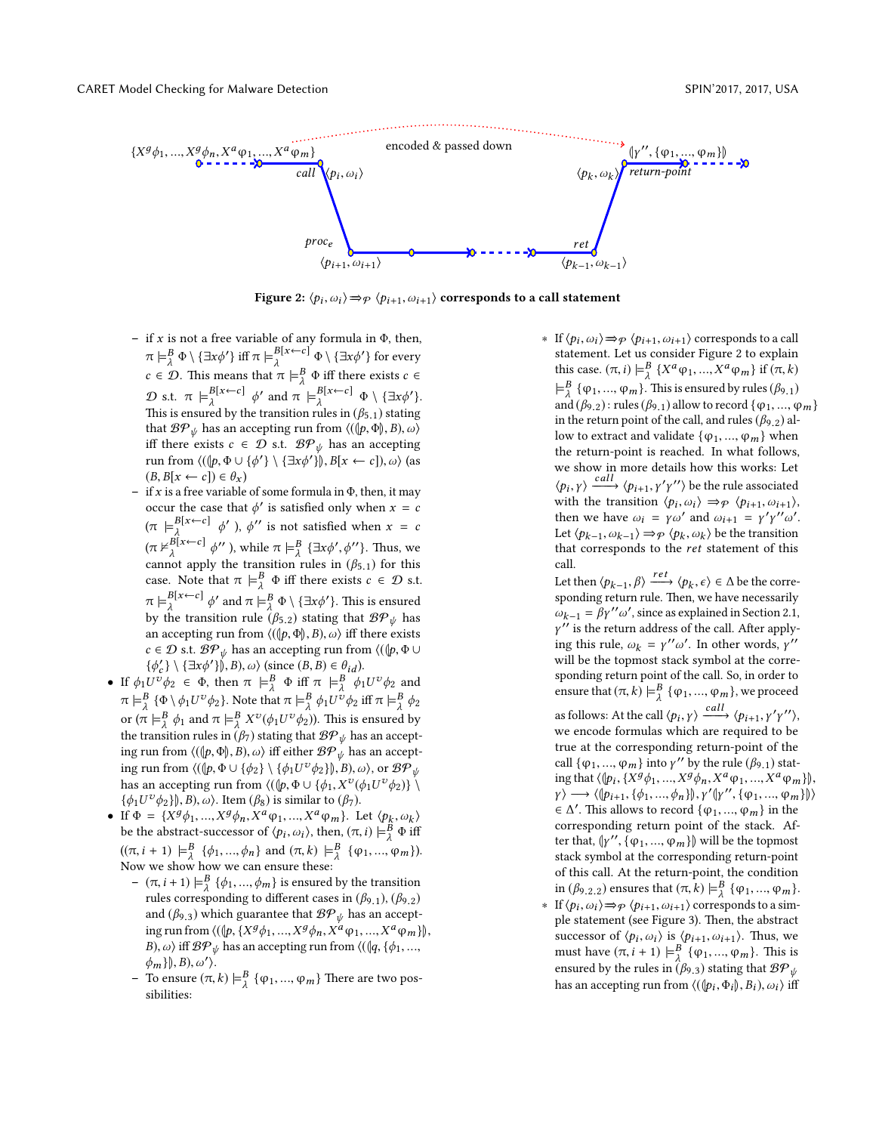<span id="page-6-0"></span>

Figure 2:  $\langle p_i, \omega_i \rangle \Rightarrow \varphi \langle p_{i+1}, \omega_{i+1} \rangle$  corresponds to a call statement

- if x is not a free variable of any formula in  $\Phi$ , then,  $\pi \models^B \Phi \setminus {\exists x \phi'}$  iff  $\pi \models^B_{\lambda} {\{\exists x \phi'\}}$  for every  $c \in \mathcal{D}$ . This means that  $\pi \models^B_A \Phi$  iff there exists  $c \in \mathcal{D}$ . D s.t.  $\pi \models_{\lambda}^{B[x \leftarrow c]}$ λ<br>ed by the ' and  $\pi \models_{\lambda}^{B[x \leftarrow c]}$  ${}_{\lambda}^{B[x \leftarrow c]} \Phi \setminus {\exists x \phi'}$ .<br>ules in  $(\beta_{5,1})$  stating This is ensured by the transition rules in  $(\beta_{5.1})$  stating<br>that  $\mathcal{B}\mathcal{D}_{\ell}$ , has an accepting run from  $\ell(\beta_0, \vec{p})$ ,  $\alpha$ ) that  $BP_{\psi}$  has an accepting run from  $\langle (\phi, \Phi), B), \omega \rangle$ <br>iff there exists  $c \in \mathcal{D}$  st.  $BP_{\psi}$  has an accepting iff there exists  $c \in \mathcal{D}$  s.t.  $\mathcal{BP}_{\psi}$  has an accepting run from  $\langle (\phi, \Phi \cup \{\phi'\}) \mid \exists x \phi' \rangle |, B[x \leftarrow c], \omega \rangle$  (as  $(B, B[x \leftarrow c]) \in \theta_x$
- if x is a free variable of some formula in  $\Phi$ , then, it may occur the case that  $\phi'$  is satisfied only when  $x = c$  $(\pi \models_{\lambda}^{B[x \leftarrow c]} \phi')$ ,  $\phi''$  is not satisfied when  $x = c$  $(\pi \nvDash_{\lambda}^{B[x\leftarrow c]} \phi'')$  $\lambda^B[x \leftarrow c] \phi''$ ), while  $\pi \models^B_{\lambda} {\exists x \phi' \over \phi}$  ot apply the transition rules in  $,\phi''$ }. Thus, we cannot apply the transition rules in  $(\beta_{5,1})$  for this case. Note that  $\pi \models^B_{\lambda} \Phi$  iff there exists  $c \in \mathcal{D}$  s.t.  $\pi \models_{\lambda}^{B[x \leftarrow c]} \phi'$  and  $\pi \models$ λ<br>he transi ' and  $\pi \models^B_{\lambda} \Phi \setminus {\exists x \phi'}$ . This is ensured<br>tion rule (*ß*= 2) stating that *BP*<sub>th</sub> has by the transition rule  $(\beta_{5.2})$  stating that  $\mathcal{BP}_{\psi}$  has an accepting run from  $\langle (\phi, \Phi), B \rangle$ ,  $\omega \rangle$  iff there exists  $c \in \mathcal{D}$  s.t.  $\mathcal{BP}_{\psi}$  has an accepting run from  $\langle (\phi, \Phi \cup \phi) \rangle$  $\{\phi'_{c}\}_{\sigma\tau\sigma}$  $\begin{array}{l} \n\binom{b}{c} \setminus \{ \exists x \phi' \} |, B), \omega \rangle \text{ (since } (B, B) \in \theta_{id} \text{)}. \ \n\end{array}$
- If  $\phi_1 U^{\nu} \phi_2 \in \Phi$ , then  $\pi \models^B_A \Phi$  iff  $\pi \models^B_A \phi_1 U^{\nu} \phi_2$  and  $\pi \models^B_A \phi_1 U^{\nu} \phi_2$  iff  $\pi \models^B_A \phi_2$ <br> $\pi \models^B_A \phi_1 U^{\nu} \phi_2 \text{ if } \pi \models^B_A \phi_2$ or  $(\pi \models^B_{\lambda} \phi_1 \text{ and } \pi \models^B_{\lambda} X^v(\phi_1 U^v \phi_2))$ . This is ensured by the transition rules in  $(\beta_0)$  stating that  $\mathcal{B}\mathcal{D}_{\lambda}$  has an account the transition rules in  $(\beta_7)$  stating that  $\mathcal{BP}_{\psi}$  has an accept-<br>ing run from  $/((\beta_0 \beta) \beta)$  (a) iff either  $\mathcal{BP}_{\psi}$  has an accepting run from  $\langle (\phi, \Phi), B \rangle$ ,  $\omega \rangle$  iff either  $\mathcal{BP}_{\psi}$  has an accepting run from  $\langle (\phi, \Phi \cup \{\phi_2\} \setminus \{\phi_1 U^{\nu} \phi_2\}], B, \omega \rangle$ , or  $\mathcal{BP}_{\psi}$ <br>has an accenting run from  $\langle (\phi, \Phi \cup \{\phi_1\}) \rangle$ has an accepting run from  $\langle (\phi_1 \Phi \cup \{ \phi_1, X^v(\phi_1 U^v \phi_2) \}) \rangle$  $\{\phi_1 U^{\nu} \phi_2\}, B, \omega\}$ . Item  $(\beta_8)$  is similar to  $(\beta_7)$ .<br>If  $\Phi = \frac{f \times g}{\phi_0} + \frac{f \times g}{\phi_0} + \frac{f \times g}{\phi_0} + \frac{f \times g}{\phi_0} + \frac{f \times g}{\phi_0}$
- If  $\Phi = \{X^g\phi_1, ..., X^g\phi_n, X^a\phi_1, ..., X^a\phi_m\}$ . Let  $\langle p_k, \omega_k \rangle$ <br>be the abstract-successor of  $\langle p_k, \omega_k \rangle$  then  $(\pi, j) \vdash^B \Phi$  iff be the abstract-successor of  $\langle p_i, \omega_i \rangle$ , then,  $(\pi, i) \models_A^B \Phi$  iff  $((\pi, i+1) \models^B_{\lambda} {\{\phi_1, ..., \phi_n\}} \text{ and } (\pi, k) \models^B_{\lambda} {\{\phi_1, ..., \phi_m\}}).$  Now we show how we can ensure these:
	- $(- (\pi, i + 1) \models^B_{\lambda} {\{\phi_1, ..., \phi_m\}})$  is ensured by the transition<br>who corresponding to different esses in  $(\beta, \phi)$ rules corresponding to different cases in  $(\beta_{9.1}), (\beta_{9.2})$ <br>and  $(\beta_{9.2})$  which guarantee that  $\mathcal{R}\mathcal{P}$  , has an accent. and ( $\beta$ 9.3) which guarantee that  $\mathcal{BP}_{\psi}$  has an accepting run from  $\langle (\phi, {X^g \phi_1, ..., X^g \phi_n, X^a \phi_1, ..., X^a \phi_m} \rangle),$ <br>
	B) (a) iff BP, has an accenting run from  $\langle (\phi, {\phi_1, ..., \phi_n} \rangle),$ B),  $\omega$ ) iff  $\mathcal{BP}_{\psi}$  has an accepting run from  $\langle (\varphi, {\varphi_1, ..., \varphi_n})$  $\phi_m$ } $\vert$ , *B*),  $\omega'$ ).<br>To ensure ( $\pi$ )
	- To ensure  $(\pi, k) \models^B_{\lambda} {\varphi_1, ..., \varphi_m}$  There are two possibilities:

∗ If  $\langle p_i, \omega_i \rangle \Rightarrow \varphi$   $\langle p_{i+1}, \omega_{i+1} \rangle$  corresponds to a call<br>statement. Let us consider Figure 2 to explain statement. Let us consider Figure [2](#page-6-0) to explain this case.  $(\pi, i) \models^B_{\lambda} \{X^a \varphi_1, ..., X^a \varphi_m\}$  if  $(\pi, k)$  $\models^B_\lambda$  { $\varphi_1, ..., \varphi_m$ }. This is ensured by rules ( $\beta_{9,1}$ ) and  $(\beta_{9,2})$ : rules  $(\beta_{9,1})$  allow to record  $\{\varphi_1, ..., \varphi_m\}$ <br>in the return point of the call and rules  $(\beta_{9,2})$  alin the return point of the call, and rules ( $\beta_{9,2}$ ) allow to extract and validate  $\{\varphi_1, ..., \varphi_m\}$  when the return-point is reached. In what follows, we show in more details how this works: Let  $\langle p_i, \gamma \rangle \xrightarrow{call} \langle p_{i+1}, \gamma' \rangle$  $\langle \gamma'' \rangle$  be the rule associated with the transition  $\langle p_i, \omega_i \rangle \Rightarrow p \langle p_{i+1}, \omega_{i+1} \rangle$ ,<br>then we have  $\omega_i = \nu \omega'$  and  $\omega_i = \nu' \nu'' \omega'$ then we have  $\omega_i = \gamma \omega'$  and  $\omega_{i+1} = \gamma' \gamma'' \omega'$ . Let  $\langle p_{k-1}, \omega_{k-1} \rangle \Rightarrow \varphi \langle p_k, \omega_k \rangle$  be the transition<br>that corresponds to the ret statement of this that corresponds to the *ret* statement of this call.

Let then  $\langle p_{k-1}, \beta \rangle \stackrel{ret}{=} \langle p_k, \epsilon \rangle \in \Delta$  be the corre-<br>sponding return rule. Then, we have necessarily sponding return rule. Then, we have necessarily  $\omega_{k-1} = \beta \gamma'' \omega'$ , since as explained in Section [2.1,](#page-1-0)<br>v'' is the return address of the call. After applying this rule,  $\omega_k = \gamma'' \omega'$ . In other words,  $\gamma''$ <br>will be the topmost stack symbol at the corre- $\gamma^{\prime\prime}$  is the return address of the call. After applywill be the topmost stack symbol at the corresponding return point of the call. So, in order to ensure that  $(\pi, k) \models^B_{\lambda} \{\varphi_1, ..., \varphi_m\}$ , we proceed as follows: At the call  $\langle p_i, \gamma \rangle \xrightarrow{call} \langle p_{i+1}, \gamma' \gamma'' \rangle$ , we encode formulas which are required to be true at the corresponding return-point of the call  $\{\varphi_1, ..., \varphi_m\}$  into  $\gamma''$  by the rule  $(\beta_{9,1})$  stat-<br>ing that  $(\beta_0, Y_g)$   $\gamma_g$   $\gamma_g$   $Y_g$   $Y_g$   $Y_g$   $Y_g$ ing that  $\langle \psi_i, \{X^g \phi_1, ..., X^g \phi_n, X^a \phi_1, ..., X^a \phi_m \} \rangle$ ,<br>  $\psi \rightarrow \langle \psi_1, \psi_2, \psi_3, ..., \psi_n \rangle$ ,  $\langle \psi_2, \psi_3, ..., \psi_n \rangle$ mg that  $\langle \psi_i, \{X^g \varphi_1, ..., X^g \varphi_n, X^{\alpha} \psi_1, ..., X^{\alpha} \psi_m \} \rangle$ <br>  $\gamma \rangle \longrightarrow \langle \langle \psi_{i+1}, \{\varphi_1, ..., \varphi_n\} \rangle, \gamma' \langle \gamma'', \{\varphi_1, ..., \varphi_m\} \rangle$  $\in \Delta'$ . This allows to record  $\{\varphi_1, ..., \varphi_m\}$  in the<br>corresponding return point of the stack Af. corresponding return point of the stack. After that,  $(\gamma'', {\varphi}_1, ..., {\varphi}_m)$  will be the topmost<br>stack symbol at the corresponding rature-point stack symbol at the corresponding return-point of this call. At the return-point, the condition in  $(\beta_{9,2,2})$  ensures that  $(\pi, k) \models^B_{\beta} {\varphi_1, ..., \varphi_m}$ .

∗ If  $\langle p_i, \omega_i \rangle \Rightarrow \varphi \langle p_{i+1}, \omega_{i+1} \rangle$  corresponds to a sim-<br>nle statement (see Figure 3). Then, the abstract ple statement (see Figure [3\)](#page-7-0). Then, the abstract successor of  $\langle p_i, \omega_i \rangle$  is  $\langle p_{i+1}, \omega_{i+1} \rangle$ . Thus, we must have  $(\pi, i+1) \models^B f(\alpha, \alpha)$ . This is must have  $(\pi, i + 1) \models^B_{\mathcal{A}} \{\varphi_1, ..., \varphi_m\}$ . This is ensured by the rules in  $(\beta_{9.3})$  stating that  $\mathcal{BP}_{\psi}$ <br>has an accenting run from  $((\beta_0, \phi_0), \beta_1)$ has an accepting run from  $\langle (\llbracket p_i, \Phi_i \rrbracket, B_i), \omega_i \rangle$  iff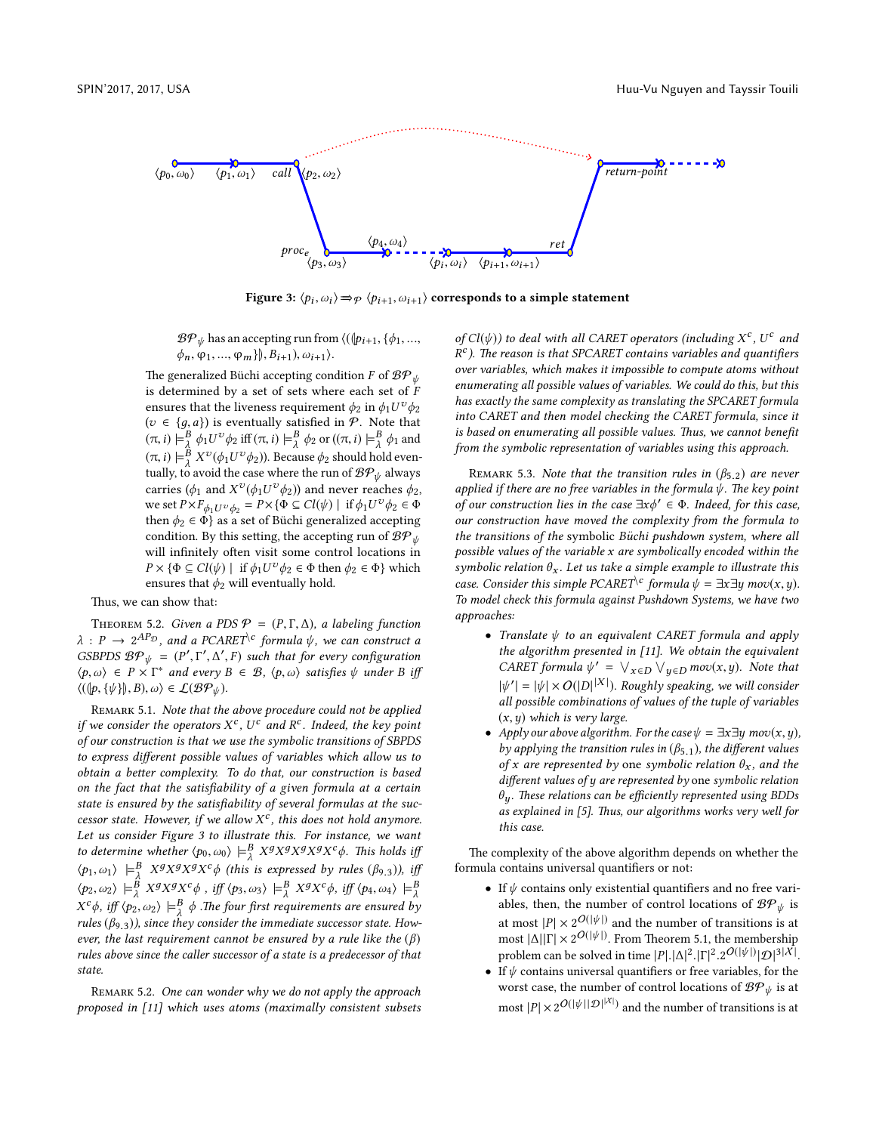<span id="page-7-0"></span>

Figure 3:  $\langle p_i, \omega_i \rangle \Rightarrow \varphi \langle p_{i+1}, \omega_{i+1} \rangle$  corresponds to a simple statement

 $\mathcal{BP}_{\psi}$  has an accepting run from  $\langle (\psi_{i+1}, {\phi_1}, \ldots, {\phi_{i}}) \rangle$  $\phi_n, \varphi_1, ..., \varphi_m\}, B_{i+1}, \omega_{i+1}\rangle.$ 

The generalized Büchi accepting condition  $F$  of  $\mathcal{BP}_{\psi}$ is determined by a set of sets where each set of F<br>ensures that the liveness requirement  $\phi_2$  in  $\phi_1 U^v \phi_2$ ensures that the liveness requirement  $\phi_2$  in  $\phi_1 U^{\nu} \phi_2$ <br>( $v \in \{g, a\}$ ) is eventually satisfied in  $P$ . Note that<br>( $\pi$  i)  $\vdash^B A_2 U^{\nu} A_2$  iff ( $\pi$  i)  $\vdash^B A_2$  or (( $\pi$  i)  $\vdash^B A_2$  and  $(\pi, i) \models^B_{\Lambda} \phi_1 U^{\nu} \phi_2$  iff  $(\pi, i) \models^B_{\Lambda} \phi_2$  or  $((\pi, i) \models^B_{\Lambda} \phi_1$  and<br> $(\pi, i) \models^B Y^{\nu} (\phi_1 U^{\nu} \phi_2)$ . Because  $\phi_2$  should hold even  $(\pi, i) \models^{\tilde{B}}_A X^{\nu}(\phi_1 U^{\nu} \phi_2)$ . Because  $\phi_2$  should hold even-<br>tually to avoid the ease where the run of  $\mathcal{B} \mathcal{B}_{\nu}$  always tually, to avoid the case where the run of  $\mathcal{BP}_{\psi}$  always carries  $(\phi_1 \text{ and } X^{\nu}(\phi_1 U^{\nu} \phi_2))$  and never reaches  $\phi_2$ ,<br>we set  $P \times F_{\nu}$ ,  $\psi_1 = P \times f \Phi \subseteq C l(\psi)$  if  $\phi_2 I^{\nu} \phi_2 \in \Phi$ we set  $P \times F_{\phi_1 U^{\nu} \phi_2} = P \times {\Phi \subseteq Cl(\psi) | \text{ if } \phi_1 U^{\nu} \phi_2 \in \Phi}$ <br>then  $\phi_0 \in \Phi$  as a set of Büchi generalized accepting then  $\phi_2 \in \Phi$  as a set of Büchi generalized accepting condition. By this setting, the accepting run of  $\mathcal{BP}_{\psi}$ will infinitely often visit some control locations in  $P \times {\Phi \subseteq Cl(\psi) \mid \text{if } \phi_1 U^{\nu} \phi_2 \in \Phi \text{ then } \phi_2 \in \Phi} \text{ which}$ ensures that  $\phi_2$  will eventually hold.

Thus, we can show that:

THEOREM 5.2. Given a PDS  $\mathcal{P} = (P, \Gamma, \Delta)$ , a labeling function  $\lambda : P \to 2^{AP_D}$ , and a PCARET<sup>\c</sup> formula  $\psi$ , we can construct a<br>GSBPDS BP  $\iota = (P' \Gamma' \Lambda' E)$  such that for every configuration GSBPDS  $\mathcal{BP}_{\psi} = (P', \Gamma', \Delta', F)$  such that for every configuration  $\langle P, \Delta \rangle \in P \times \Gamma^*$  and every  $B \in \mathcal{B}$ ,  $\langle P, \Delta \rangle$  satisfies  $\psi$  under B if  $\langle p, \omega \rangle \in P \times \Gamma^*$  and every  $B \in \mathcal{B}, \langle p, \omega \rangle$  satisfies  $\psi$  under B iff<br> $\langle (h, \psi \rangle) \times \Gamma^*$  and every  $B \in \mathcal{B}, \langle p, \omega \rangle$  satisfies  $\psi$  under B iff  $\langle (\psi, {\psi}], B, \omega \rangle \in \mathcal{L}(\mathcal{BP}_{\psi}).$ 

REMARK 5.1. Note that the above procedure could not be applied if we consider the operators  $X^c$ ,  $U^c$  and  $R^c$ . Indeed, the key point<br>of our construction is that we use the symbolic transitions of SBPDS of our construction is that we use the symbolic transitions of SBPDS to express different possible values of variables which allow us to obtain a better complexity. To do that, our construction is based on the fact that the satisfiability of a given formula at a certain state is ensured by the satisfiability of several formulas at the successor state. However, if we allow  $X^c$ , this does not hold anymore.<br>Let us consider Figure 3 to illustrate this. For instance, we want Let us consider Figure [3](#page-7-0) to illustrate this. For instance, we want to determine whether  $\langle p_0, \omega_0 \rangle \models^B_\lambda X^g X^g X^g X^g X^c \phi$ . This holds iff <br> $\langle p_1, \omega_1 \rangle \models^B_\lambda Y^g X^g X^g X^c \phi$  (this is expressed by rules ( $\langle \beta_2, \alpha_1 \rangle$ ) if  $\langle p_1, \omega_1 \rangle \models^B_A X^g X^g X^g X^c \phi$  (this is expressed by rules ( $\beta_{9,3}$ )), iff<br> $\langle p_0, \omega_0 \rangle \models^B_A Y^g X^g X^c \phi$  iff  $\langle p_0, \omega_0 \rangle \models^B X^g X^c \phi$  iff  $\langle p_0, \omega_0 \rangle \models^B_B Y^g X^c \phi$  $\langle p_2, \omega_2 \rangle \models^B_A X^g X^g X^c \phi$ , iff  $\langle p_3, \omega_3 \rangle \models^B_A X^g X^c \phi$ , iff  $\langle p_4, \omega_4 \rangle \models^B_B X^g X^g X^g \phi$  ${}^{c}\phi$ , iff  $\langle p_2, \omega_2 \rangle \models^B_{\lambda} \phi$ . The four first requirements are ensured by rules ( $(\beta_9, 3)$ ), since they consider the immediate successor state. How-<br>ever the lost requirement cannot be ensured by a rule like the ( $\beta$ ) ever, the last requirement cannot be ensured by a rule like the  $(\beta)$ rules above since the caller successor of a state is a predecessor of that state.

REMARK 5.2. One can wonder why we do not apply the approach proposed in [\[11\]](#page-9-4) which uses atoms (maximally consistent subsets

of  $Cl(\psi)$ ) to deal with all CARET operators (including  $X^c$ ,  $U^c$  and  $P^c$ ). The reason is that SPCAPET contains variables and quantifiers over variables, which makes it impossible to compute atoms without  $\emph{c}$  ). The reason is that SPCARET contains variables and quantifiers enumerating all possible values of variables. We could do this, but this has exactly the same complexity as translating the SPCARET formula into CARET and then model checking the CARET formula, since it is based on enumerating all possible values. Thus, we cannot benefit from the symbolic representation of variables using this approach.

REMARK 5.3. Note that the transition rules in  $(\beta_{5.2})$  are never applied if there are no free variables in the formula  $\psi$ . The key point of our construction lies in the case  $\exists x \phi' \in \Phi$ . Indeed, for this case, our construction have moved the complexity from the formula to our construction have moved the complexity from the formula to the transitions of the symbolic Büchi pushdown system, where all possible values of the variable x are symbolically encoded within the symbolic relation  $\theta_x$ . Let us take a simple example to illustrate this case. Consider this simple PCARET<sup>\c</sup> formula  $\psi = \exists x \exists y \; \textit{mov}(x, y)$ .<br>To model check this formula against Pushdown Systems, we have two To model check this formula against Pushdown Systems, we have two approaches:

- Translate  $\psi$  to an equivalent CARET formula and apply the algorithm presented in [\[11\]](#page-9-4). We obtain the equivalent CARET formula  $\psi' = \bigvee_{x \in D} \bigvee_{y \in D} \text{mov}(x, y)$ . Note that  $|\psi'| = |\psi| \times O(|D|^{|X|})$ . Roughly speaking, we will consider all possible combinations of values of the tuple of variables all possible combinations of values of the tuple of variables  $(x, y)$  which is very large.
- Apply our above algorithm. For the case  $\psi = \exists x \exists y \; \text{mov}(x, y)$ , by applying the transition rules in  $(\beta_{5.1})$ , the different values of x are represented by one symbolic relation  $\theta_x$ , and the different values of  $y$  are represented by one symbolic relation  $\theta_{\textit{y}}$ . These relations can be efficiently represented using BDDs as explained in [\[5\]](#page-9-12). Thus, our algorithms works very well for this case.

The complexity of the above algorithm depends on whether the formula contains universal quantifiers or not:

- If  $\psi$  contains only existential quantifiers and no free variables, then, the number of control locations of  $\mathcal{BP}_{\psi}$  is at most  $|P| \times 2^{O(|\psi|)}$  and the number of transitions is at most  $\vert A \vert \vert \vert \vert \times 2^{O(|\psi|)}$  From Theorem 5.1, the mombership most  $|\Delta||\Gamma| \times 2^{\mathcal{O}(|\psi|)}$ . From Theorem [5.1,](#page-4-2) the membership problem can be solved in time  $|P| |\Delta|^2 | \Gamma|^2 . 2^{\mathcal{O}(|\psi|)} |\mathcal{D}|^3 |\mathcal{X}|$ .<br>If  $\psi$  contains universal quantifiers or free variables, for the
- If  $\psi$  contains universal quantifiers or free variables, for the worst case, the number of control locations of  $\mathcal{BP}_{\psi}$  is at most  $|P| \times 2^{\mathcal{O}(|\psi||\mathcal{D}|^{|\mathcal{X}|})}$  and the number of transitions is at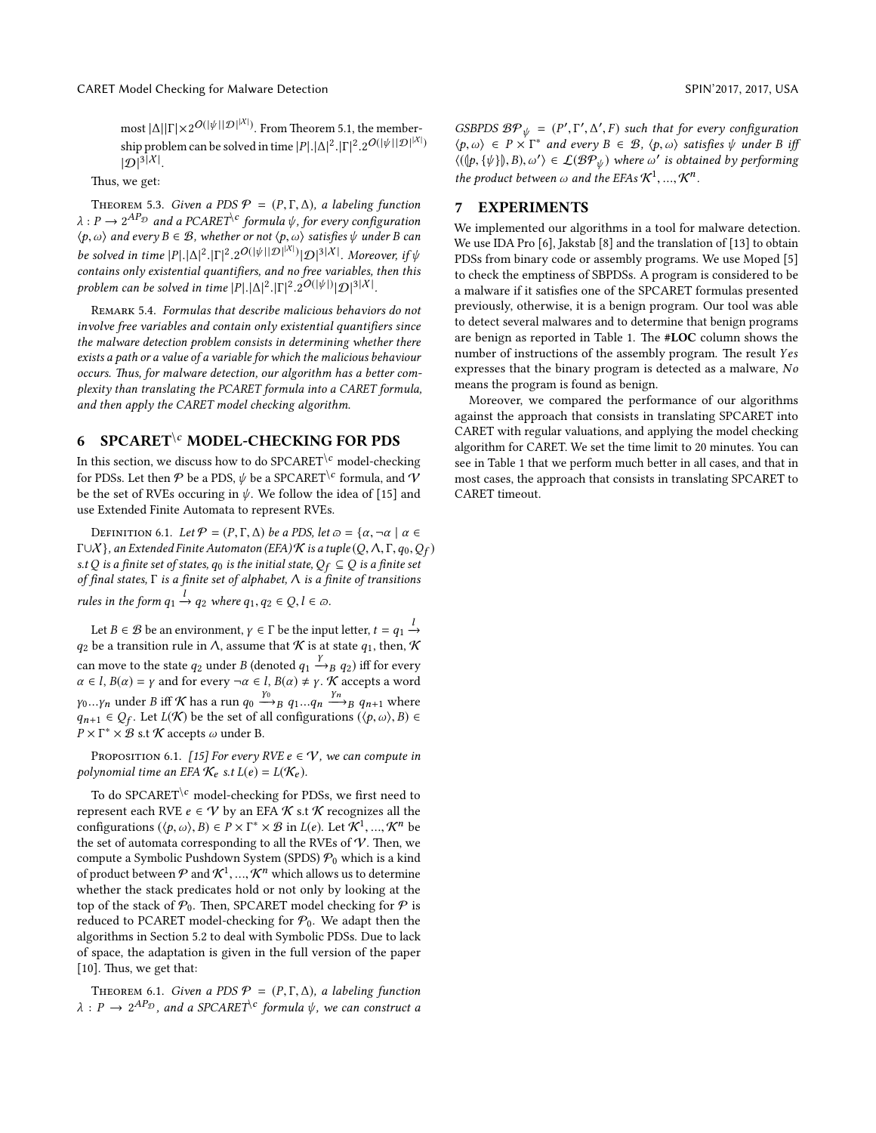most  $|\Delta||\Gamma|\times 2^{O(|\psi||\mathcal{D})^{|\mathcal{X}|}}$ . From Theorem [5.1,](#page-4-2) the member-<br> $\frac{1}{2}$ .  $\frac{1}{|\mathcal{X}|\mathcal{Y}|^{|\mathcal{X}|}}$ ship problem can be solved in time  $|P|.|\Delta|^2.|\Gamma|^2.2^{O(|\psi||\mathcal{D}|^{|\mathcal{X}|})}$  $|\mathcal{D}|^{3|\mathcal{X}|}.$ 

Thus, we get:

THEOREM 5.3. Given a PDS  $\mathcal{P} = (P, \Gamma, \Delta)$ , a labeling function  $\lambda : P \to 2^{AP_D}$  and a PCARET<sup>\c</sup> formula  $\psi$ , for every configuration  $\langle P, \phi \rangle$  and every  $B \in \mathcal{B}$ , whether or not  $\langle P, \phi \rangle$  satisfies  $\psi$  under B can  $\langle p, \omega \rangle$  and every  $B \in \mathcal{B}$ , whether or not  $\langle p, \omega \rangle$  satisfies  $\psi$  under B can be solved in time  $|P|$ . $|\Delta|^2$ . $|\Gamma|^2$ . $2^{O(|\psi||\mathcal{D}|^{|\mathcal{X}|})} |\mathcal{D}|^{3|\mathcal{X}|}$ . Moreover, if  $\psi$ <br>contains only existential quantifiers, and no free variables, then this contains only existential quantifiers, and no free variables, then this problem can be solved in time  $|P| |\Delta|^2 | \Gamma|^2 . 2^{\mathcal{O}(|\psi|)} |\mathcal{D}|^{3|\mathcal{X}|}.$ 

Remark 5.4. Formulas that describe malicious behaviors do not involve free variables and contain only existential quantifiers since the malware detection problem consists in determining whether there exists a path or a value of a variable for which the malicious behaviour occurs. Thus, for malware detection, our algorithm has a better complexity than translating the PCARET formula into a CARET formula, and then apply the CARET model checking algorithm.

# 6 SPCARET $\backslash c$  MODEL-CHECKING FOR PDS

In this section, we discuss how to do SPCARET<sup>\c</sup> model-checking for PDSs. Let then  $P$  be a PDS,  $\psi$  be a SPCARET<sup>{\c}</sup> formula, and  $V$ be the set of RVEs occuring in  $\psi$ . We follow the idea of [\[15\]](#page-9-6) and use Extended Finite Automata to represent RVEs.

DEFINITION 6.1. Let  $\mathcal{P} = (P, \Gamma, \Delta)$  be a PDS, let  $\varpi = {\alpha, \neg \alpha \mid \alpha \in \Delta}$  $\Gamma \cup X$ }, an Extended Finite Automaton (EFA) K is a tuple (Q, Λ, Γ, q0, Q f)<br>s t Ω is a finite set of states, ao is the initial state, Ω c ⊆ Ω is a finite set s.t Q is a finite set of states,  $q_0$  is the initial state,  $Q_f \subseteq Q$  is a finite set of final states,  $\Gamma$  is a finite set of alphabet,  $\Lambda$  is a finite of transitions rules in the form  $q_1 \stackrel{\leftarrow}{\rightarrow} q_2$  where  $q_1, q_2 \in Q, l \in \varpi$ .

Let  $B \in \mathcal{B}$  be an environment,  $\gamma \in \Gamma$  be the input letter,  $t = q_1 \xrightarrow{t}$ <br>be a transition rule in  $\Lambda$ , assume that  $\mathcal{K}$  is at state  $q_1$ , then  $\mathcal{K}$  $q_2$  be a transition rule in Λ, assume that K is at state  $q_1$ , then, K can move to the state  $q_2$  under B (denoted  $q_1 \xrightarrow{f} B q_2$ ) iff for every<br> $\alpha \in I$ ,  $B(\alpha) = \gamma$  and for every  $-\alpha \in I$ ,  $B(\alpha) \neq \gamma$ . K accents a word  $\alpha \in l$ ,  $B(\alpha) = \gamma$  and for every  $\neg \alpha \in l$ ,  $B(\alpha) \neq \gamma$ . K accepts a word  $\gamma_0...\gamma_n$  under B iff K has a run  $q_0 \xrightarrow{y_0} q_1...q_n \xrightarrow{y_n} q_{n+1}$  where  $q_{n+1} \in Q_f$ . Let  $L(K)$  be the set of all configurations  $(\langle p, \omega \rangle, B) \in R \times \Gamma^* \times R$  s t K accents  $\omega$  under B  $P \times \Gamma^* \times \mathcal{B}$  s.t  $\mathcal K$  accepts  $\omega$  under B.

PROPOSITION 6.1. [\[15\]](#page-9-6) For every RVE  $e \in V$ , we can compute in polynomial time an EFA  $\mathcal{K}_e$  s.t  $L(e) = L(\mathcal{K}_e)$ .

To do SPCARET<sup>\c</sup> model-checking for PDSs, we first need to represent each RVE  $e \in V$  by an EFA  $K$  s.t  $K$  recognizes all the configurations  $((p, \omega), B) \in P \times \Gamma^* \times B$  in  $L(e)$ . Let  $\mathcal{K}^1, ..., \mathcal{K}^n$  be the set of automata corresponding to all the BVEs of V. Then we the set of automata corresponding to all the RVEs of  $V$ . Then, we compute a Symbolic Pushdown System (SPDS)  $\mathcal{P}_0$  which is a kind of product between P and  $\mathcal{K}^1, ..., \mathcal{K}^n$  which allows us to determine<br>whether the stack predicates hold or not only by looking at the whether the stack predicates hold or not only by looking at the top of the stack of  $\mathcal{P}_0$ . Then, SPCARET model checking for  $\mathcal P$  is reduced to PCARET model-checking for  $P_0$ . We adapt then the algorithms in Section [5.2](#page-5-1) to deal with Symbolic PDSs. Due to lack of space, the adaptation is given in the full version of the paper  $[10]$ . Thus, we get that:

THEOREM 6.1. Given a PDS  $\mathcal{P} = (P, \Gamma, \Delta)$ , a labeling function  $\lambda : P \to 2^{AP_D}$ , and a SPCARET<sup>\c</sup> formula  $\psi$ , we can construct a GSBPDS  $\mathcal{BP}_{\psi} = (P', \Gamma', \Delta', F)$  such that for every configuration<br>(b, c)  $\in P \times \Gamma^*$  and every  $B \in \mathcal{B}$ , (p, c) satisfies  $\psi$  under B if  $\langle p, \omega \rangle \in P \times \Gamma^*$  and every  $B \in \mathcal{B}$ ,  $\langle p, \omega \rangle$  satisfies  $\psi$  under B if  $\langle (|n, j| \rangle \setminus R) \otimes \langle \cdot \rangle \in f(\mathcal{B} \mathcal{P}_k)$  where  $\omega'$  is obtained by performing  $\langle (\psi, {\psi})$ ,  $B$ ,  $\omega' \rangle \in \mathcal{L}(\mathcal{BP}_{\psi})$  where  $\omega'$  is obtained by performing the product between  $\omega$  and the EFAs  $\mathcal{K}^1, ..., \mathcal{K}^n$ .

#### 7 EXPERIMENTS

We implemented our algorithms in a tool for malware detection. We use IDA Pro [\[6\]](#page-9-15), Jakstab [\[8\]](#page-9-16) and the translation of [\[13\]](#page-9-5) to obtain PDSs from binary code or assembly programs. We use Moped [\[5\]](#page-9-12) to check the emptiness of SBPDSs. A program is considered to be a malware if it satisfies one of the SPCARET formulas presented previously, otherwise, it is a benign program. Our tool was able to detect several malwares and to determine that benign programs are benign as reported in Table [1.](#page-9-17) The #LOC column shows the number of instructions of the assembly program. The result Yes expresses that the binary program is detected as a malware, No means the program is found as benign.

Moreover, we compared the performance of our algorithms against the approach that consists in translating SPCARET into CARET with regular valuations, and applying the model checking algorithm for CARET. We set the time limit to 20 minutes. You can see in Table [1](#page-9-17) that we perform much better in all cases, and that in most cases, the approach that consists in translating SPCARET to CARET timeout.